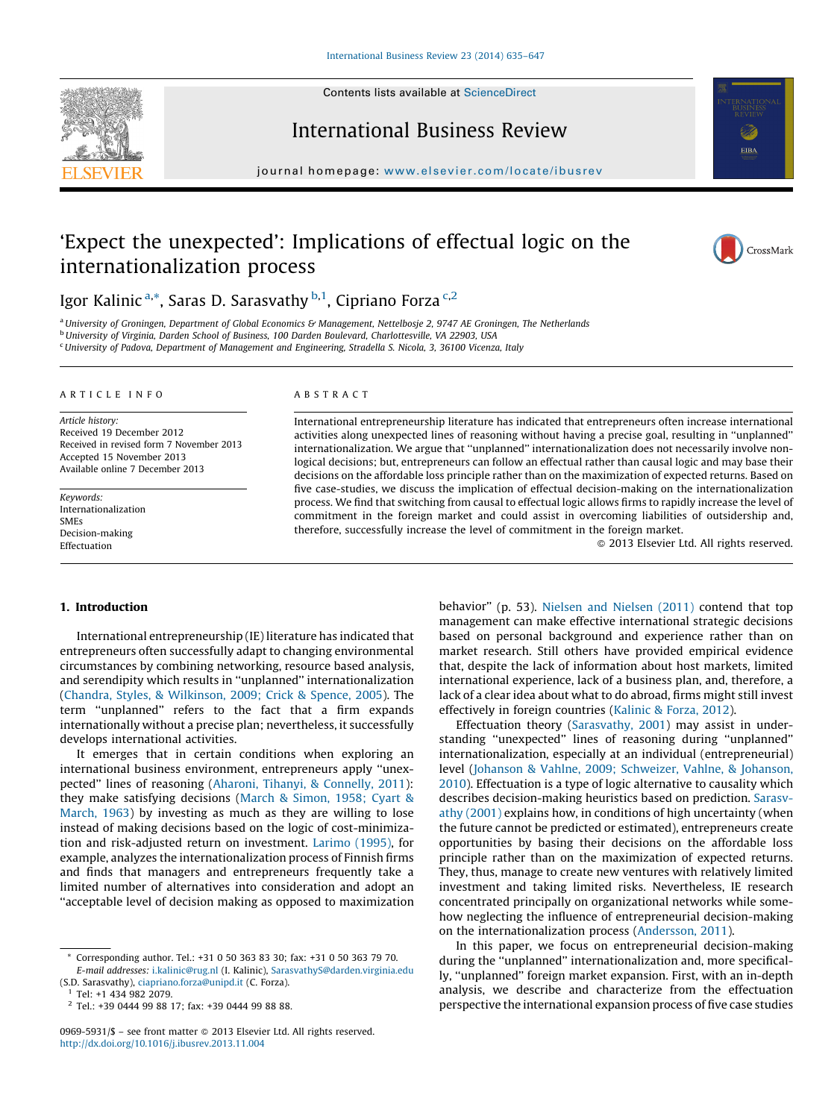Contents lists available at [ScienceDirect](http://www.sciencedirect.com/science/journal/09695931)



International Business Review

journal homepage: [www.elsevier.com/locate/ibus](http://dx.doi.org/www.elsevier.com/locate/ibusrev)rev

# 'Expect the unexpected': Implications of effectual logic on the internationalization process



EIBA

Igor Kalinic <sup>a,</sup>\*, Saras D. Sarasvathy <sup>b,1</sup>, Cipriano Forza <sup>c,2</sup>

<sup>a</sup> University of Groningen, Department of Global Economics & Management, Nettelbosje 2, 9747 AE Groningen, The Netherlands <sup>b</sup> University of Virginia, Darden School of Business, 100 Darden Boulevard, Charlottesville, VA 22903, USA <sup>c</sup>University of Padova, Department of Management and Engineering, Stradella S. Nicola, 3, 36100 Vicenza, Italy

A R T I C L E I N F O

Article history: Received 19 December 2012 Received in revised form 7 November 2013 Accepted 15 November 2013 Available online 7 December 2013

Keywords: Internationalization SMEs Decision-making Effectuation

#### A B S T R A C T

International entrepreneurship literature has indicated that entrepreneurs often increase international activities along unexpected lines of reasoning without having a precise goal, resulting in ''unplanned'' internationalization. We argue that ''unplanned'' internationalization does not necessarily involve nonlogical decisions; but, entrepreneurs can follow an effectual rather than causal logic and may base their decisions on the affordable loss principle rather than on the maximization of expected returns. Based on five case-studies, we discuss the implication of effectual decision-making on the internationalization process. We find that switching from causal to effectual logic allows firms to rapidly increase the level of commitment in the foreign market and could assist in overcoming liabilities of outsidership and, therefore, successfully increase the level of commitment in the foreign market.

- 2013 Elsevier Ltd. All rights reserved.

#### 1. Introduction

International entrepreneurship (IE) literature has indicated that entrepreneurs often successfully adapt to changing environmental circumstances by combining networking, resource based analysis, and serendipity which results in ''unplanned'' internationalization (Chandra, Styles, & [Wilkinson,](#page-11-0) 2009; Crick & Spence, 2005). The term ''unplanned'' refers to the fact that a firm expands internationally without a precise plan; nevertheless, it successfully develops international activities.

It emerges that in certain conditions when exploring an international business environment, entrepreneurs apply ''unexpected'' lines of reasoning (Aharoni, Tihanyi, & [Connelly,](#page-11-0) 2011): they make satisfying decisions (March & [Simon,](#page-11-0) 1958; Cyart & [March,](#page-11-0) 1963) by investing as much as they are willing to lose instead of making decisions based on the logic of cost-minimization and risk-adjusted return on investment. [Larimo](#page-11-0) (1995), for example, analyzes the internationalization process of Finnish firms and finds that managers and entrepreneurs frequently take a limited number of alternatives into consideration and adopt an ''acceptable level of decision making as opposed to maximization

(S.D. Sarasvathy), [ciapriano.forza@unipd.it](mailto:ciapriano.forza@unipd.it) (C. Forza).  $1$  Tel: +1 434 982 2079.

<sup>2</sup> Tel.: +39 0444 99 88 17; fax: +39 0444 99 88 88.

behavior'' (p. 53). Nielsen and [Nielsen](#page-11-0) (2011) contend that top management can make effective international strategic decisions based on personal background and experience rather than on market research. Still others have provided empirical evidence that, despite the lack of information about host markets, limited international experience, lack of a business plan, and, therefore, a lack of a clear idea about what to do abroad, firms might still invest effectively in foreign countries [\(Kalinic](#page-11-0) & Forza, 2012).

Effectuation theory ([Sarasvathy,](#page-11-0) 2001) may assist in understanding ''unexpected'' lines of reasoning during ''unplanned'' internationalization, especially at an individual (entrepreneurial) level (Johanson & Vahlne, 2009; [Schweizer,](#page-11-0) Vahlne, & Johanson, [2010\)](#page-11-0). Effectuation is a type of logic alternative to causality which describes decision-making heuristics based on prediction. [Sarasv](#page-11-0)athy [\(2001\)](#page-11-0) explains how, in conditions of high uncertainty (when the future cannot be predicted or estimated), entrepreneurs create opportunities by basing their decisions on the affordable loss principle rather than on the maximization of expected returns. They, thus, manage to create new ventures with relatively limited investment and taking limited risks. Nevertheless, IE research concentrated principally on organizational networks while somehow neglecting the influence of entrepreneurial decision-making on the internationalization process [\(Andersson,](#page-11-0) 2011).

In this paper, we focus on entrepreneurial decision-making during the ''unplanned'' internationalization and, more specifically, ''unplanned'' foreign market expansion. First, with an in-depth analysis, we describe and characterize from the effectuation perspective the international expansion process of five case studies

Corresponding author. Tel.: +31 0 50 363 83 30; fax: +31 0 50 363 79 70. E-mail addresses: [i.kalinic@rug.nl](mailto:i.kalinic@rug.nl) (I. Kalinic), [SarasvathyS@darden.virginia.edu](mailto:SarasvathyS@darden.virginia.edu)

<sup>0969-5931/\$ –</sup> see front matter © 2013 Elsevier Ltd. All rights reserved. <http://dx.doi.org/10.1016/j.ibusrev.2013.11.004>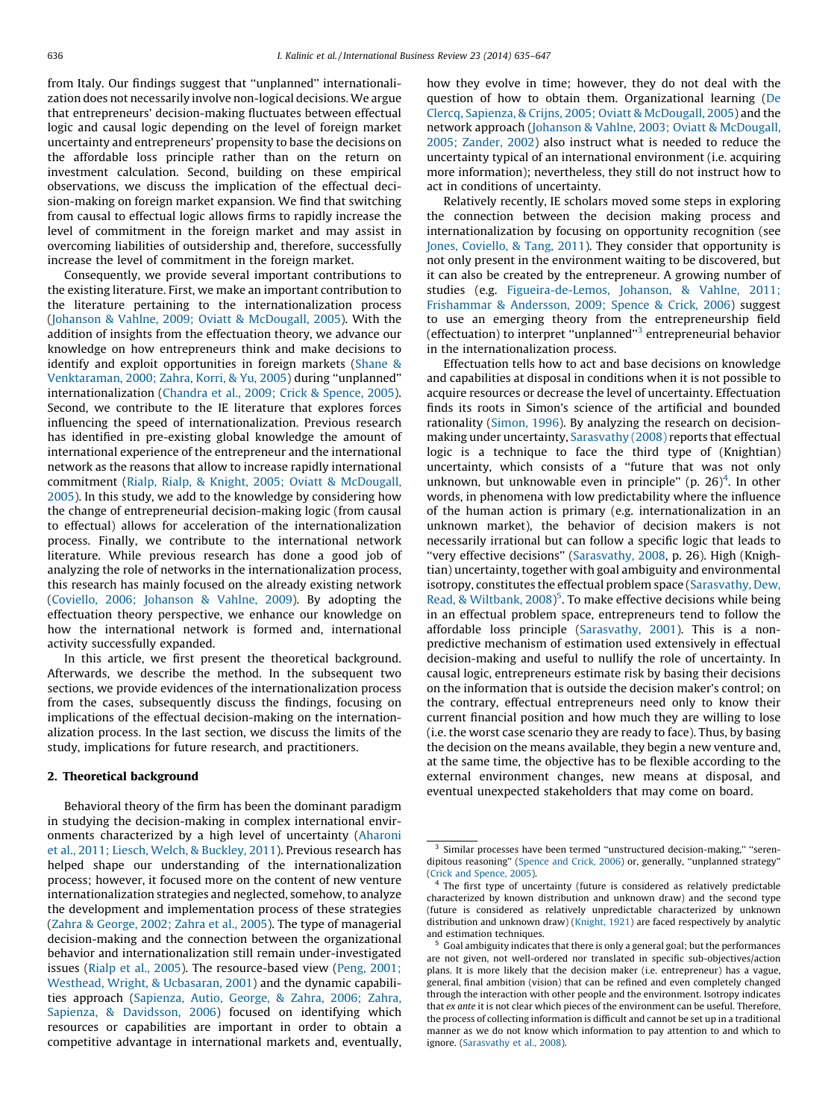from Italy. Our findings suggest that ''unplanned'' internationalization does not necessarily involve non-logical decisions. We argue that entrepreneurs' decision-making fluctuates between effectual logic and causal logic depending on the level of foreign market uncertainty and entrepreneurs' propensity to base the decisions on the affordable loss principle rather than on the return on investment calculation. Second, building on these empirical observations, we discuss the implication of the effectual decision-making on foreign market expansion. We find that switching from causal to effectual logic allows firms to rapidly increase the level of commitment in the foreign market and may assist in overcoming liabilities of outsidership and, therefore, successfully increase the level of commitment in the foreign market.

Consequently, we provide several important contributions to the existing literature. First, we make an important contribution to the literature pertaining to the internationalization process (Johanson & Vahlne, 2009; Oviatt & [McDougall,](#page-11-0) 2005). With the addition of insights from the effectuation theory, we advance our knowledge on how entrepreneurs think and make decisions to identify and exploit opportunities in foreign markets [\(Shane](#page-11-0) & [Venktaraman,](#page-11-0) 2000; Zahra, Korri, & Yu, 2005) during ''unplanned'' internationalization [\(Chandra](#page-11-0) et al., 2009; Crick & Spence, 2005). Second, we contribute to the IE literature that explores forces influencing the speed of internationalization. Previous research has identified in pre-existing global knowledge the amount of international experience of the entrepreneur and the international network as the reasons that allow to increase rapidly international commitment (Rialp, Rialp, & Knight, 2005; Oviatt & [McDougall,](#page-11-0) [2005\)](#page-11-0). In this study, we add to the knowledge by considering how the change of entrepreneurial decision-making logic (from causal to effectual) allows for acceleration of the internationalization process. Finally, we contribute to the international network literature. While previous research has done a good job of analyzing the role of networks in the internationalization process, this research has mainly focused on the already existing network (Coviello, 2006; [Johanson](#page-11-0) & Vahlne, 2009). By adopting the effectuation theory perspective, we enhance our knowledge on how the international network is formed and, international activity successfully expanded.

In this article, we first present the theoretical background. Afterwards, we describe the method. In the subsequent two sections, we provide evidences of the internationalization process from the cases, subsequently discuss the findings, focusing on implications of the effectual decision-making on the internationalization process. In the last section, we discuss the limits of the study, implications for future research, and practitioners.

# 2. Theoretical background

Behavioral theory of the firm has been the dominant paradigm in studying the decision-making in complex international environments characterized by a high level of uncertainty [\(Aharoni](#page-11-0) et al., 2011; Liesch, Welch, & [Buckley,](#page-11-0) 2011). Previous research has helped shape our understanding of the internationalization process; however, it focused more on the content of new venture internationalization strategies and neglected, somehow, to analyze the development and implementation process of these strategies (Zahra & [George,](#page-12-0) 2002; Zahra et al., 2005). The type of managerial decision-making and the connection between the organizational behavior and internationalization still remain under-investigated issues (Rialp et al., [2005\)](#page-11-0). The resource-based view (Peng, [2001;](#page-11-0) Westhead, Wright, & [Ucbasaran,](#page-11-0) 2001) and the dynamic capabilities approach [\(Sapienza,](#page-11-0) Autio, George, & Zahra, 2006; Zahra, Sapienza, & [Davidsson,](#page-11-0) 2006) focused on identifying which resources or capabilities are important in order to obtain a competitive advantage in international markets and, eventually, how they evolve in time; however, they do not deal with the question of how to obtain them. Organizational learning ([De](#page-11-0) Clercq, Sapienza, & Crijns, 2005; Oviatt & [McDougall,](#page-11-0) 2005) and the network approach (Johanson & Vahlne, 2003; Oviatt & [McDougall,](#page-11-0) 2005; [Zander,](#page-11-0) 2002) also instruct what is needed to reduce the uncertainty typical of an international environment (i.e. acquiring more information); nevertheless, they still do not instruct how to act in conditions of uncertainty.

Relatively recently, IE scholars moved some steps in exploring the connection between the decision making process and internationalization by focusing on opportunity recognition (see Jones, [Coviello,](#page-11-0) & Tang, 2011). They consider that opportunity is not only present in the environment waiting to be discovered, but it can also be created by the entrepreneur. A growing number of studies (e.g. [Figueira-de-Lemos,](#page-11-0) Johanson, & Vahlne, 2011; [Frishammar](#page-11-0) & Andersson, 2009; Spence & Crick, 2006) suggest to use an emerging theory from the entrepreneurship field (effectuation) to interpret ''unplanned''<sup>3</sup> entrepreneurial behavior in the internationalization process.

Effectuation tells how to act and base decisions on knowledge and capabilities at disposal in conditions when it is not possible to acquire resources or decrease the level of uncertainty. Effectuation finds its roots in Simon's science of the artificial and bounded rationality [\(Simon,](#page-11-0) 1996). By analyzing the research on decisionmaking under uncertainty, [Sarasvathy](#page-11-0) (2008) reports that effectual logic is a technique to face the third type of (Knightian) uncertainty, which consists of a ''future that was not only unknown, but unknowable even in principle" (p.  $26$ <sup>4</sup>. In other words, in phenomena with low predictability where the influence of the human action is primary (e.g. internationalization in an unknown market), the behavior of decision makers is not necessarily irrational but can follow a specific logic that leads to ''very effective decisions'' ([Sarasvathy,](#page-11-0) 2008, p. 26). High (Knightian) uncertainty, together with goal ambiguity and environmental isotropy, constitutes the effectual problem space ([Sarasvathy,](#page-11-0) Dew, Read, & [Wiltbank,](#page-11-0) 2008) 5 . To make effective decisions while being in an effectual problem space, entrepreneurs tend to follow the affordable loss principle [\(Sarasvathy,](#page-11-0) 2001). This is a nonpredictive mechanism of estimation used extensively in effectual decision-making and useful to nullify the role of uncertainty. In causal logic, entrepreneurs estimate risk by basing their decisions on the information that is outside the decision maker's control; on the contrary, effectual entrepreneurs need only to know their current financial position and how much they are willing to lose (i.e. the worst case scenario they are ready to face). Thus, by basing the decision on the means available, they begin a new venture and, at the same time, the objective has to be flexible according to the external environment changes, new means at disposal, and eventual unexpected stakeholders that may come on board.

<sup>&</sup>lt;sup>3</sup> Similar processes have been termed "unstructured decision-making," "serendipitous reasoning'' ([Spence](#page-11-0) and Crick, 2006) or, generally, ''unplanned strategy'' (Crick and [Spence,](#page-11-0) 2005).

<sup>4</sup> The first type of uncertainty (future is considered as relatively predictable characterized by known distribution and unknown draw) and the second type (future is considered as relatively unpredictable characterized by unknown distribution and unknown draw) ([Knight,](#page-11-0) 1921) are faced respectively by analytic and estimation techniques.

<sup>5</sup> Goal ambiguity indicates that there is only a general goal; but the performances are not given, not well-ordered nor translated in specific sub-objectives/action plans. It is more likely that the decision maker (i.e. entrepreneur) has a vague, general, final ambition (vision) that can be refined and even completely changed through the interaction with other people and the environment. Isotropy indicates that ex ante it is not clear which pieces of the environment can be useful. Therefore, the process of collecting information is difficult and cannot be set up in a traditional manner as we do not know which information to pay attention to and which to ignore. [\(Sarasvathy](#page-11-0) et al., 2008).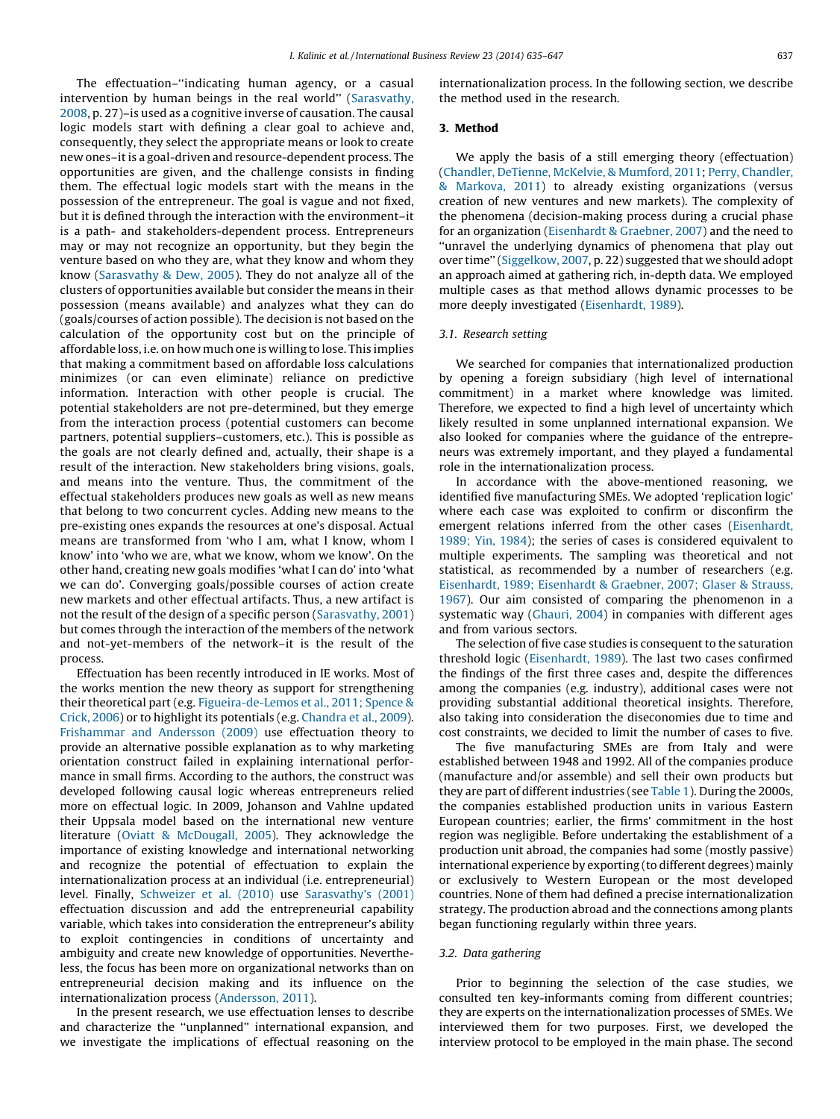The effectuation–''indicating human agency, or a casual intervention by human beings in the real world'' [\(Sarasvathy,](#page-11-0) [2008](#page-11-0), p. 27)–is used as a cognitive inverse of causation. The causal logic models start with defining a clear goal to achieve and, consequently, they select the appropriate means or look to create new ones–itis a goal-driven and resource-dependent process. The opportunities are given, and the challenge consists in finding them. The effectual logic models start with the means in the possession of the entrepreneur. The goal is vague and not fixed, but it is defined through the interaction with the environment–it is a path- and stakeholders-dependent process. Entrepreneurs may or may not recognize an opportunity, but they begin the venture based on who they are, what they know and whom they know [\(Sarasvathy](#page-11-0) & Dew, 2005). They do not analyze all of the clusters of opportunities available but consider the means in their possession (means available) and analyzes what they can do (goals/courses of action possible). The decision is not based on the calculation of the opportunity cost but on the principle of affordable loss, i.e. on how much one is willing to lose. This implies that making a commitment based on affordable loss calculations minimizes (or can even eliminate) reliance on predictive information. Interaction with other people is crucial. The potential stakeholders are not pre-determined, but they emerge from the interaction process (potential customers can become partners, potential suppliers–customers, etc.). This is possible as the goals are not clearly defined and, actually, their shape is a result of the interaction. New stakeholders bring visions, goals, and means into the venture. Thus, the commitment of the effectual stakeholders produces new goals as well as new means that belong to two concurrent cycles. Adding new means to the pre-existing ones expands the resources at one's disposal. Actual means are transformed from 'who I am, what I know, whom I know' into 'who we are, what we know, whom we know'. On the other hand, creating new goals modifies 'what I can do' into 'what we can do'. Converging goals/possible courses of action create new markets and other effectual artifacts. Thus, a new artifact is not the result of the design of a specific person ([Sarasvathy,](#page-11-0) 2001) but comes through the interaction of the members of the network and not-yet-members of the network–it is the result of the process.

Effectuation has been recently introduced in IE works. Most of the works mention the new theory as support for strengthening their theoretical part (e.g. [Figueira-de-Lemos](#page-11-0) et al., 2011; Spence & [Crick,](#page-11-0) 2006) or to highlight its potentials (e.g. [Chandra](#page-11-0) et al., 2009). [Frishammar](#page-11-0) and Andersson (2009) use effectuation theory to provide an alternative possible explanation as to why marketing orientation construct failed in explaining international performance in small firms. According to the authors, the construct was developed following causal logic whereas entrepreneurs relied more on effectual logic. In 2009, Johanson and Vahlne updated their Uppsala model based on the international new venture literature (Oviatt & [McDougall,](#page-11-0) 2005). They acknowledge the importance of existing knowledge and international networking and recognize the potential of effectuation to explain the internationalization process at an individual (i.e. entrepreneurial) level. Finally, [Schweizer](#page-11-0) et al. (2010) use [Sarasvathy's](#page-11-0) (2001) effectuation discussion and add the entrepreneurial capability variable, which takes into consideration the entrepreneur's ability to exploit contingencies in conditions of uncertainty and ambiguity and create new knowledge of opportunities. Nevertheless, the focus has been more on organizational networks than on entrepreneurial decision making and its influence on the internationalization process ([Andersson,](#page-11-0) 2011).

In the present research, we use effectuation lenses to describe and characterize the ''unplanned'' international expansion, and we investigate the implications of effectual reasoning on the internationalization process. In the following section, we describe the method used in the research.

# 3. Method

We apply the basis of a still emerging theory (effectuation) (Chandler, DeTienne, McKelvie, & [Mumford,](#page-11-0) 2011; Perry, [Chandler,](#page-11-0) & [Markova,](#page-11-0) 2011) to already existing organizations (versus creation of new ventures and new markets). The complexity of the phenomena (decision-making process during a crucial phase for an organization [\(Eisenhardt](#page-11-0) & Graebner, 2007) and the need to ''unravel the underlying dynamics of phenomena that play out over time'' ([Siggelkow,](#page-11-0) 2007, p. 22) suggested that we should adopt an approach aimed at gathering rich, in-depth data. We employed multiple cases as that method allows dynamic processes to be more deeply investigated [\(Eisenhardt,](#page-11-0) 1989).

#### 3.1. Research setting

We searched for companies that internationalized production by opening a foreign subsidiary (high level of international commitment) in a market where knowledge was limited. Therefore, we expected to find a high level of uncertainty which likely resulted in some unplanned international expansion. We also looked for companies where the guidance of the entrepreneurs was extremely important, and they played a fundamental role in the internationalization process.

In accordance with the above-mentioned reasoning, we identified five manufacturing SMEs. We adopted 'replication logic' where each case was exploited to confirm or disconfirm the emergent relations inferred from the other cases ([Eisenhardt,](#page-11-0) [1989;](#page-11-0) Yin, 1984); the series of cases is considered equivalent to multiple experiments. The sampling was theoretical and not statistical, as recommended by a number of researchers (e.g. [Eisenhardt,](#page-11-0) 1989; Eisenhardt & Graebner, 2007; Glaser & Strauss, [1967\)](#page-11-0). Our aim consisted of comparing the phenomenon in a systematic way ([Ghauri,](#page-11-0) 2004) in companies with different ages and from various sectors.

The selection of five case studies is consequent to the saturation threshold logic [\(Eisenhardt,](#page-11-0) 1989). The last two cases confirmed the findings of the first three cases and, despite the differences among the companies (e.g. industry), additional cases were not providing substantial additional theoretical insights. Therefore, also taking into consideration the diseconomies due to time and cost constraints, we decided to limit the number of cases to five.

The five manufacturing SMEs are from Italy and were established between 1948 and 1992. All of the companies produce (manufacture and/or assemble) and sell their own products but they are part of different industries (see [Table](#page-3-0) 1). During the 2000s, the companies established production units in various Eastern European countries; earlier, the firms' commitment in the host region was negligible. Before undertaking the establishment of a production unit abroad, the companies had some (mostly passive) international experience by exporting (to different degrees) mainly or exclusively to Western European or the most developed countries. None of them had defined a precise internationalization strategy. The production abroad and the connections among plants began functioning regularly within three years.

#### 3.2. Data gathering

Prior to beginning the selection of the case studies, we consulted ten key-informants coming from different countries; they are experts on the internationalization processes of SMEs. We interviewed them for two purposes. First, we developed the interview protocol to be employed in the main phase. The second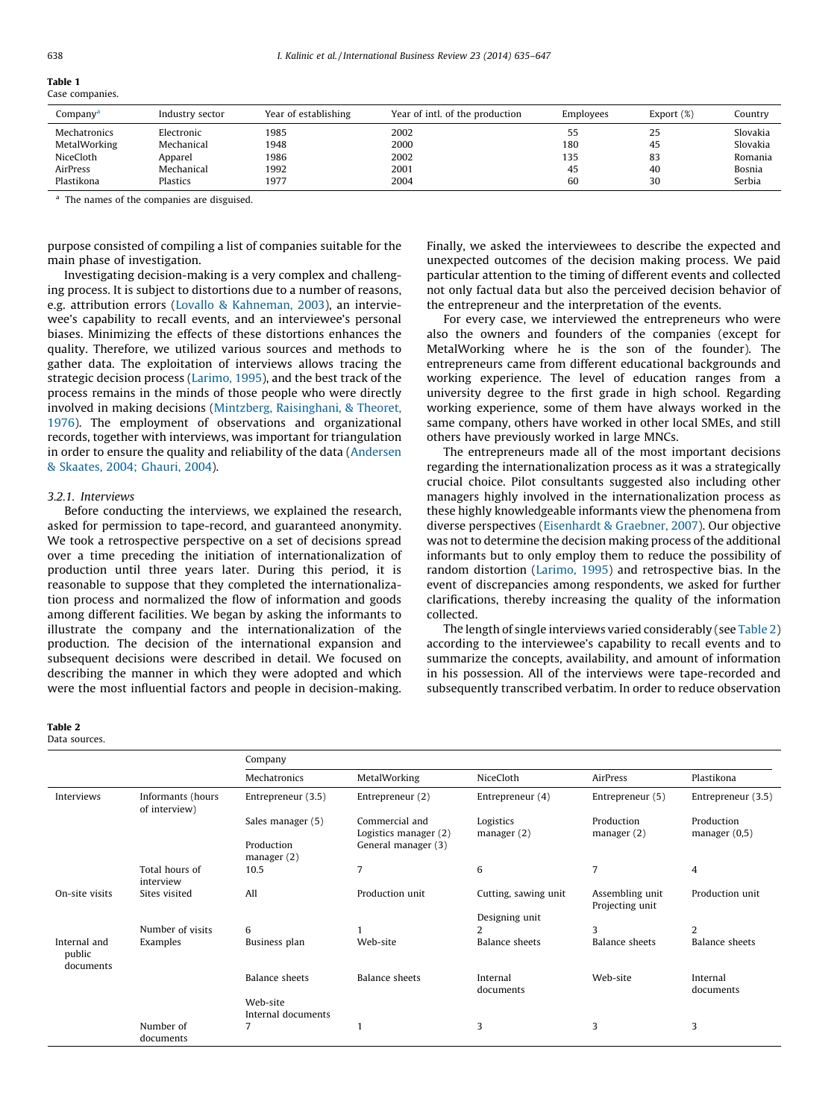#### <span id="page-3-0"></span>Case companies.

| Company'     | Industry sector | Year of establishing | Year of intl, of the production | Employees | Export $(\%)$ | Countrv  |
|--------------|-----------------|----------------------|---------------------------------|-----------|---------------|----------|
| Mechatronics | Electronic      | 1985                 | 2002                            | 55        | 25            | Slovakia |
| MetalWorking | Mechanical      | 1948                 | 2000                            | 180       | 45            | Slovakia |
| NiceCloth    | Apparel         | 1986                 | 2002                            | 135       | 83            | Romania  |
| AirPress     | Mechanical      | 1992                 | 2001                            | 45        | 40            | Bosnia   |
| Plastikona   | Plastics        | 1977                 | 2004                            | 60        | 30            | Serbia   |

<sup>a</sup> The names of the companies are disguised.

purpose consisted of compiling a list of companies suitable for the main phase of investigation.

Investigating decision-making is a very complex and challenging process. It is subject to distortions due to a number of reasons, e.g. attribution errors (Lovallo & [Kahneman,](#page-11-0) 2003), an interviewee's capability to recall events, and an interviewee's personal biases. Minimizing the effects of these distortions enhances the quality. Therefore, we utilized various sources and methods to gather data. The exploitation of interviews allows tracing the strategic decision process ([Larimo,](#page-11-0) 1995), and the best track of the process remains in the minds of those people who were directly involved in making decisions (Mintzberg, [Raisinghani,](#page-11-0) & Theoret, [1976](#page-11-0)). The employment of observations and organizational records, together with interviews, was important for triangulation in order to ensure the quality and reliability of the data ([Andersen](#page-11-0) & [Skaates,](#page-11-0) 2004; Ghauri, 2004).

# 3.2.1. Interviews

Before conducting the interviews, we explained the research, asked for permission to tape-record, and guaranteed anonymity. We took a retrospective perspective on a set of decisions spread over a time preceding the initiation of internationalization of production until three years later. During this period, it is reasonable to suppose that they completed the internationalization process and normalized the flow of information and goods among different facilities. We began by asking the informants to illustrate the company and the internationalization of the production. The decision of the international expansion and subsequent decisions were described in detail. We focused on describing the manner in which they were adopted and which were the most influential factors and people in decision-making.

# Table 2

Data sources.

Finally, we asked the interviewees to describe the expected and unexpected outcomes of the decision making process. We paid particular attention to the timing of different events and collected not only factual data but also the perceived decision behavior of the entrepreneur and the interpretation of the events.

For every case, we interviewed the entrepreneurs who were also the owners and founders of the companies (except for MetalWorking where he is the son of the founder). The entrepreneurs came from different educational backgrounds and working experience. The level of education ranges from a university degree to the first grade in high school. Regarding working experience, some of them have always worked in the same company, others have worked in other local SMEs, and still others have previously worked in large MNCs.

The entrepreneurs made all of the most important decisions regarding the internationalization process as it was a strategically crucial choice. Pilot consultants suggested also including other managers highly involved in the internationalization process as these highly knowledgeable informants view the phenomena from diverse perspectives ([Eisenhardt](#page-11-0) & Graebner, 2007). Our objective was not to determine the decision making process of the additional informants but to only employ them to reduce the possibility of random distortion [\(Larimo,](#page-11-0) 1995) and retrospective bias. In the event of discrepancies among respondents, we asked for further clarifications, thereby increasing the quality of the information collected.

The length of single interviews varied considerably (see Table 2) according to the interviewee's capability to recall events and to summarize the concepts, availability, and amount of information in his possession. All of the interviews were tape-recorded and subsequently transcribed verbatim. In order to reduce observation

|                                     |                                    | Company                        |                       |                       |                                    |                       |
|-------------------------------------|------------------------------------|--------------------------------|-----------------------|-----------------------|------------------------------------|-----------------------|
|                                     |                                    | Mechatronics                   | MetalWorking          | NiceCloth             | AirPress                           | Plastikona            |
| Interviews                          | Informants (hours<br>of interview) | Entrepreneur (3.5)             | Entrepreneur (2)      | Entrepreneur (4)      | Entrepreneur (5)                   | Entrepreneur (3.5)    |
|                                     |                                    | Sales manager (5)              | Commercial and        | Logistics             | Production                         | Production            |
|                                     |                                    |                                | Logistics manager (2) | manager $(2)$         | manager (2)                        | manager $(0,5)$       |
|                                     |                                    | Production<br>$m$ anager $(2)$ | General manager (3)   |                       |                                    |                       |
|                                     | Total hours of<br>interview        | 10.5                           | 7                     | 6                     | 7                                  | $\overline{4}$        |
| On-site visits                      | Sites visited                      | All                            | Production unit       | Cutting, sawing unit  | Assembling unit<br>Projecting unit | Production unit       |
|                                     |                                    |                                |                       | Designing unit        |                                    |                       |
|                                     | Number of visits                   | 6                              |                       | 2                     | 3                                  | 2                     |
| Internal and<br>public<br>documents | Examples                           | Business plan                  | Web-site              | Balance sheets        | Balance sheets                     | <b>Balance sheets</b> |
|                                     |                                    | <b>Balance sheets</b>          | Balance sheets        | Internal<br>documents | Web-site                           | Internal<br>documents |
|                                     |                                    | Web-site<br>Internal documents |                       |                       |                                    |                       |
|                                     | Number of<br>documents             | 7                              |                       | 3                     | 3                                  | 3                     |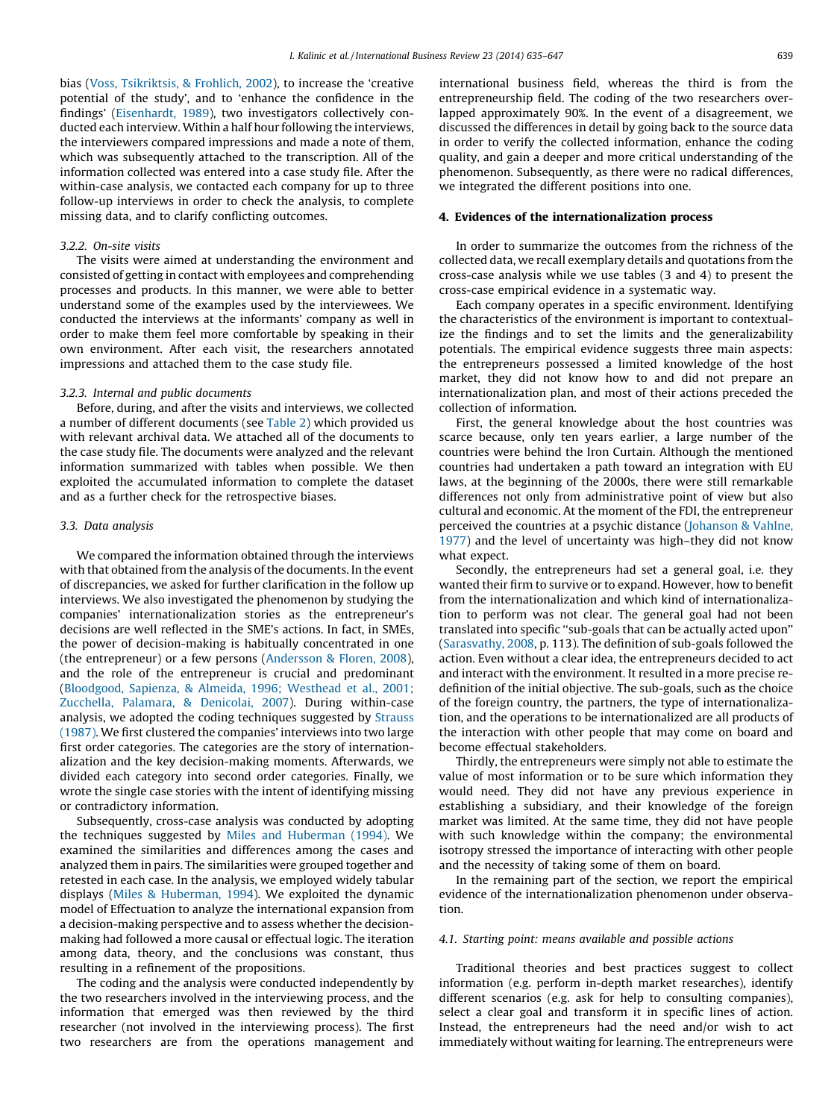bias (Voss, [Tsikriktsis,](#page-12-0) & Frohlich, 2002), to increase the 'creative potential of the study', and to 'enhance the confidence in the findings' [\(Eisenhardt,](#page-11-0) 1989), two investigators collectively conducted each interview. Within a half hour following the interviews, the interviewers compared impressions and made a note of them, which was subsequently attached to the transcription. All of the information collected was entered into a case study file. After the within-case analysis, we contacted each company for up to three follow-up interviews in order to check the analysis, to complete missing data, and to clarify conflicting outcomes.

#### 3.2.2. On-site visits

The visits were aimed at understanding the environment and consisted of getting in contact with employees and comprehending processes and products. In this manner, we were able to better understand some of the examples used by the interviewees. We conducted the interviews at the informants' company as well in order to make them feel more comfortable by speaking in their own environment. After each visit, the researchers annotated impressions and attached them to the case study file.

#### 3.2.3. Internal and public documents

Before, during, and after the visits and interviews, we collected a number of different documents (see [Table](#page-3-0) 2) which provided us with relevant archival data. We attached all of the documents to the case study file. The documents were analyzed and the relevant information summarized with tables when possible. We then exploited the accumulated information to complete the dataset and as a further check for the retrospective biases.

#### 3.3. Data analysis

We compared the information obtained through the interviews with that obtained from the analysis of the documents. In the event of discrepancies, we asked for further clarification in the follow up interviews. We also investigated the phenomenon by studying the companies' internationalization stories as the entrepreneur's decisions are well reflected in the SME's actions. In fact, in SMEs, the power of decision-making is habitually concentrated in one (the entrepreneur) or a few persons ([Andersson](#page-11-0) & Floren, 2008), and the role of the entrepreneur is crucial and predominant ([Bloodgood,](#page-11-0) Sapienza, & Almeida, 1996; Westhead et al., 2001; [Zucchella,](#page-11-0) Palamara, & Denicolai, 2007). During within-case analysis, we adopted the coding techniques suggested by [Strauss](#page-11-0) [\(1987\).](#page-11-0) We first clustered the companies' interviews into two large first order categories. The categories are the story of internationalization and the key decision-making moments. Afterwards, we divided each category into second order categories. Finally, we wrote the single case stories with the intent of identifying missing or contradictory information.

Subsequently, cross-case analysis was conducted by adopting the techniques suggested by Miles and [Huberman](#page-11-0) (1994). We examined the similarities and differences among the cases and analyzed them in pairs. The similarities were grouped together and retested in each case. In the analysis, we employed widely tabular displays (Miles & [Huberman,](#page-11-0) 1994). We exploited the dynamic model of Effectuation to analyze the international expansion from a decision-making perspective and to assess whether the decisionmaking had followed a more causal or effectual logic. The iteration among data, theory, and the conclusions was constant, thus resulting in a refinement of the propositions.

The coding and the analysis were conducted independently by the two researchers involved in the interviewing process, and the information that emerged was then reviewed by the third researcher (not involved in the interviewing process). The first two researchers are from the operations management and international business field, whereas the third is from the entrepreneurship field. The coding of the two researchers overlapped approximately 90%. In the event of a disagreement, we discussed the differences in detail by going back to the source data in order to verify the collected information, enhance the coding quality, and gain a deeper and more critical understanding of the phenomenon. Subsequently, as there were no radical differences, we integrated the different positions into one.

#### 4. Evidences of the internationalization process

In order to summarize the outcomes from the richness of the collected data, we recall exemplary details and quotations from the cross-case analysis while we use tables (3 and 4) to present the cross-case empirical evidence in a systematic way.

Each company operates in a specific environment. Identifying the characteristics of the environment is important to contextualize the findings and to set the limits and the generalizability potentials. The empirical evidence suggests three main aspects: the entrepreneurs possessed a limited knowledge of the host market, they did not know how to and did not prepare an internationalization plan, and most of their actions preceded the collection of information.

First, the general knowledge about the host countries was scarce because, only ten years earlier, a large number of the countries were behind the Iron Curtain. Although the mentioned countries had undertaken a path toward an integration with EU laws, at the beginning of the 2000s, there were still remarkable differences not only from administrative point of view but also cultural and economic. At the moment of the FDI, the entrepreneur perceived the countries at a psychic distance ([Johanson](#page-11-0) & Vahlne, [1977\)](#page-11-0) and the level of uncertainty was high–they did not know what expect.

Secondly, the entrepreneurs had set a general goal, i.e. they wanted their firm to survive or to expand. However, how to benefit from the internationalization and which kind of internationalization to perform was not clear. The general goal had not been translated into specific ''sub-goals that can be actually acted upon'' ([Sarasvathy,](#page-11-0) 2008, p. 113). The definition of sub-goals followed the action. Even without a clear idea, the entrepreneurs decided to act and interact with the environment. It resulted in a more precise redefinition of the initial objective. The sub-goals, such as the choice of the foreign country, the partners, the type of internationalization, and the operations to be internationalized are all products of the interaction with other people that may come on board and become effectual stakeholders.

Thirdly, the entrepreneurs were simply not able to estimate the value of most information or to be sure which information they would need. They did not have any previous experience in establishing a subsidiary, and their knowledge of the foreign market was limited. At the same time, they did not have people with such knowledge within the company; the environmental isotropy stressed the importance of interacting with other people and the necessity of taking some of them on board.

In the remaining part of the section, we report the empirical evidence of the internationalization phenomenon under observation.

#### 4.1. Starting point: means available and possible actions

Traditional theories and best practices suggest to collect information (e.g. perform in-depth market researches), identify different scenarios (e.g. ask for help to consulting companies), select a clear goal and transform it in specific lines of action. Instead, the entrepreneurs had the need and/or wish to act immediately without waiting for learning. The entrepreneurs were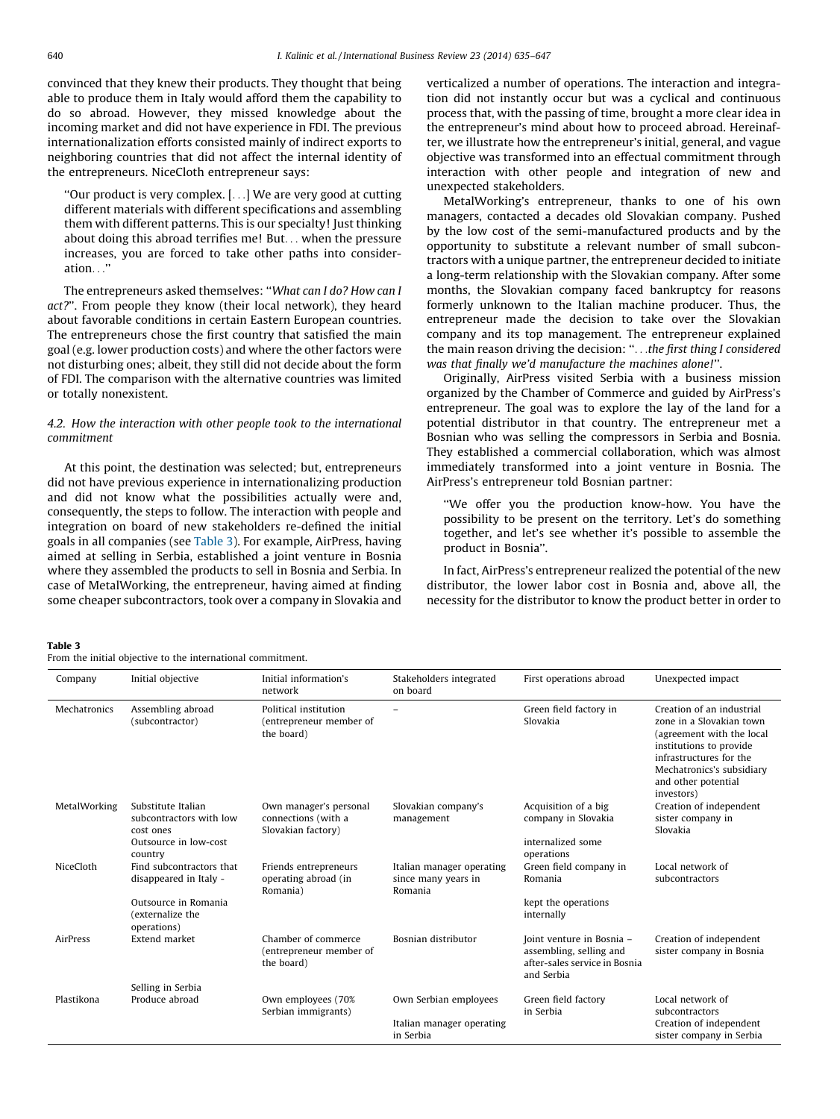<span id="page-5-0"></span>convinced that they knew their products. They thought that being able to produce them in Italy would afford them the capability to do so abroad. However, they missed knowledge about the incoming market and did not have experience in FDI. The previous internationalization efforts consisted mainly of indirect exports to neighboring countries that did not affect the internal identity of the entrepreneurs. NiceCloth entrepreneur says:

''Our product is very complex. [. . .] We are very good at cutting different materials with different specifications and assembling them with different patterns. This is our specialty! Just thinking about doing this abroad terrifies me! But. . . when the pressure increases, you are forced to take other paths into consideration. . .''

The entrepreneurs asked themselves: ''What can I do? How can I act?''. From people they know (their local network), they heard about favorable conditions in certain Eastern European countries. The entrepreneurs chose the first country that satisfied the main goal (e.g. lower production costs) and where the other factors were not disturbing ones; albeit, they still did not decide about the form of FDI. The comparison with the alternative countries was limited or totally nonexistent.

# 4.2. How the interaction with other people took to the international commitment

At this point, the destination was selected; but, entrepreneurs did not have previous experience in internationalizing production and did not know what the possibilities actually were and, consequently, the steps to follow. The interaction with people and integration on board of new stakeholders re-defined the initial goals in all companies (see Table 3). For example, AirPress, having aimed at selling in Serbia, established a joint venture in Bosnia where they assembled the products to sell in Bosnia and Serbia. In case of MetalWorking, the entrepreneur, having aimed at finding some cheaper subcontractors, took over a company in Slovakia and

verticalized a number of operations. The interaction and integration did not instantly occur but was a cyclical and continuous process that, with the passing of time, brought a more clear idea in the entrepreneur's mind about how to proceed abroad. Hereinafter, we illustrate how the entrepreneur's initial, general, and vague objective was transformed into an effectual commitment through interaction with other people and integration of new and unexpected stakeholders.

MetalWorking's entrepreneur, thanks to one of his own managers, contacted a decades old Slovakian company. Pushed by the low cost of the semi-manufactured products and by the opportunity to substitute a relevant number of small subcontractors with a unique partner, the entrepreneur decided to initiate a long-term relationship with the Slovakian company. After some months, the Slovakian company faced bankruptcy for reasons formerly unknown to the Italian machine producer. Thus, the entrepreneur made the decision to take over the Slovakian company and its top management. The entrepreneur explained the main reason driving the decision: ''. . .the first thing I considered was that finally we'd manufacture the machines alone!''.

Originally, AirPress visited Serbia with a business mission organized by the Chamber of Commerce and guided by AirPress's entrepreneur. The goal was to explore the lay of the land for a potential distributor in that country. The entrepreneur met a Bosnian who was selling the compressors in Serbia and Bosnia. They established a commercial collaboration, which was almost immediately transformed into a joint venture in Bosnia. The AirPress's entrepreneur told Bosnian partner:

''We offer you the production know-how. You have the possibility to be present on the territory. Let's do something together, and let's see whether it's possible to assemble the product in Bosnia''.

In fact, AirPress's entrepreneur realized the potential of the new distributor, the lower labor cost in Bosnia and, above all, the necessity for the distributor to know the product better in order to

Table 3

From the initial objective to the international commitment.

| Company      | Initial objective                                                                              | Initial information's<br>network                                    | Stakeholders integrated<br>on board                         | First operations abroad                                                                             | Unexpected impact                                                                                                                                                                                          |
|--------------|------------------------------------------------------------------------------------------------|---------------------------------------------------------------------|-------------------------------------------------------------|-----------------------------------------------------------------------------------------------------|------------------------------------------------------------------------------------------------------------------------------------------------------------------------------------------------------------|
| Mechatronics | Assembling abroad<br>(subcontractor)                                                           | Political institution<br>(entrepreneur member of<br>the board)      |                                                             | Green field factory in<br>Slovakia                                                                  | Creation of an industrial<br>zone in a Slovakian town<br>(agreement with the local<br>institutions to provide<br>infrastructures for the<br>Mechatronics's subsidiary<br>and other potential<br>investors) |
| MetalWorking | Substitute Italian<br>subcontractors with low<br>cost ones<br>Outsource in low-cost<br>country | Own manager's personal<br>connections (with a<br>Slovakian factory) | Slovakian company's<br>management                           | Acquisition of a big<br>company in Slovakia<br>internalized some<br>operations                      | Creation of independent<br>sister company in<br>Slovakia                                                                                                                                                   |
| NiceCloth    | Find subcontractors that<br>disappeared in Italy -                                             | Friends entrepreneurs<br>operating abroad (in<br>Romania)           | Italian manager operating<br>since many years in<br>Romania | Green field company in<br>Romania                                                                   | Local network of<br>subcontractors                                                                                                                                                                         |
|              | Outsource in Romania<br>(externalize the<br>operations)                                        |                                                                     |                                                             | kept the operations<br>internally                                                                   |                                                                                                                                                                                                            |
| AirPress     | Extend market                                                                                  | Chamber of commerce<br>(entrepreneur member of<br>the board)        | Bosnian distributor                                         | Joint venture in Bosnia -<br>assembling, selling and<br>after-sales service in Bosnia<br>and Serbia | Creation of independent<br>sister company in Bosnia                                                                                                                                                        |
|              | Selling in Serbia                                                                              |                                                                     |                                                             |                                                                                                     |                                                                                                                                                                                                            |
| Plastikona   | Produce abroad                                                                                 | Own employees (70%<br>Serbian immigrants)                           | Own Serbian employees                                       | Green field factory<br>in Serbia                                                                    | Local network of<br>subcontractors                                                                                                                                                                         |
|              |                                                                                                |                                                                     | Italian manager operating<br>in Serbia                      |                                                                                                     | Creation of independent<br>sister company in Serbia                                                                                                                                                        |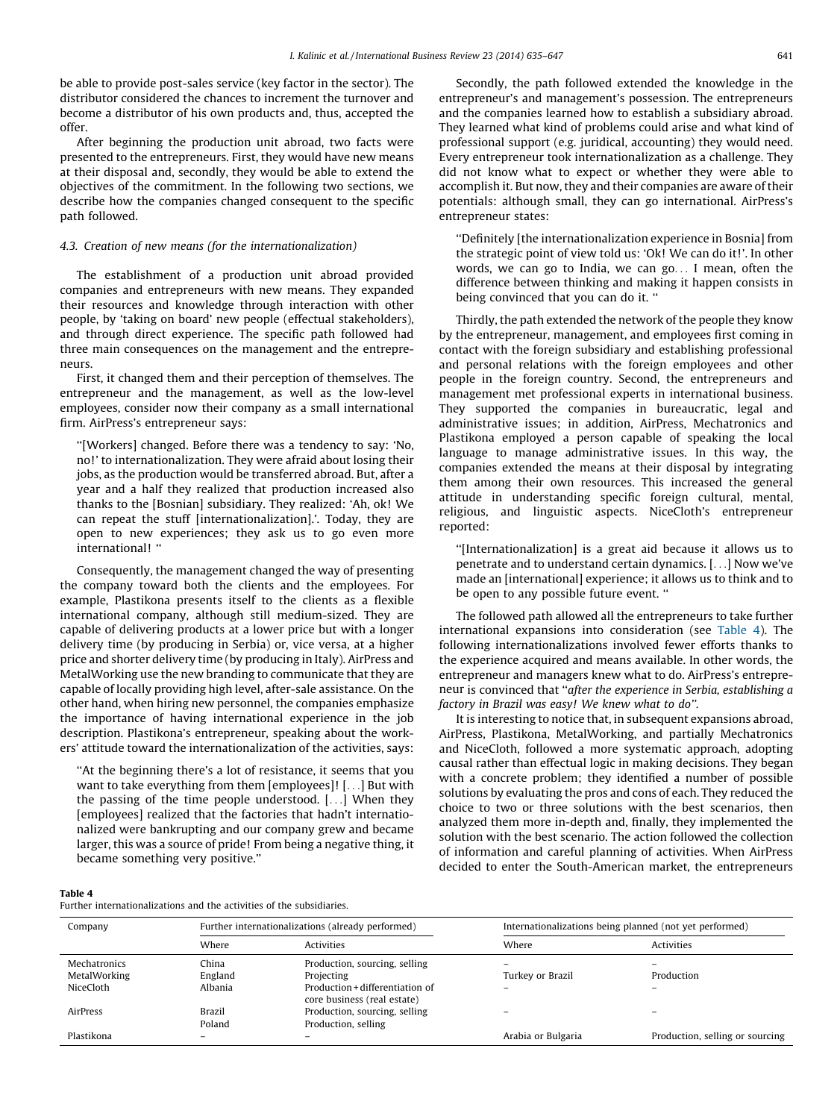<span id="page-6-0"></span>be able to provide post-sales service (key factor in the sector). The distributor considered the chances to increment the turnover and become a distributor of his own products and, thus, accepted the offer.

After beginning the production unit abroad, two facts were presented to the entrepreneurs. First, they would have new means at their disposal and, secondly, they would be able to extend the objectives of the commitment. In the following two sections, we describe how the companies changed consequent to the specific path followed.

# 4.3. Creation of new means (for the internationalization)

The establishment of a production unit abroad provided companies and entrepreneurs with new means. They expanded their resources and knowledge through interaction with other people, by 'taking on board' new people (effectual stakeholders), and through direct experience. The specific path followed had three main consequences on the management and the entrepreneurs.

First, it changed them and their perception of themselves. The entrepreneur and the management, as well as the low-level employees, consider now their company as a small international firm. AirPress's entrepreneur says:

''[Workers] changed. Before there was a tendency to say: 'No, no!' to internationalization. They were afraid about losing their jobs, as the production would be transferred abroad. But, after a year and a half they realized that production increased also thanks to the [Bosnian] subsidiary. They realized: 'Ah, ok! We can repeat the stuff [internationalization].'. Today, they are open to new experiences; they ask us to go even more international! ''

Consequently, the management changed the way of presenting the company toward both the clients and the employees. For example, Plastikona presents itself to the clients as a flexible international company, although still medium-sized. They are capable of delivering products at a lower price but with a longer delivery time (by producing in Serbia) or, vice versa, at a higher price and shorter delivery time (by producing in Italy). AirPress and MetalWorking use the new branding to communicate that they are capable of locally providing high level, after-sale assistance. On the other hand, when hiring new personnel, the companies emphasize the importance of having international experience in the job description. Plastikona's entrepreneur, speaking about the workers' attitude toward the internationalization of the activities, says:

''At the beginning there's a lot of resistance, it seems that you want to take everything from them [employees]! [. . .] But with the passing of the time people understood. [. . .] When they [employees] realized that the factories that hadn't internationalized were bankrupting and our company grew and became larger, this was a source of pride! From being a negative thing, it became something very positive.''

Secondly, the path followed extended the knowledge in the entrepreneur's and management's possession. The entrepreneurs and the companies learned how to establish a subsidiary abroad. They learned what kind of problems could arise and what kind of professional support (e.g. juridical, accounting) they would need. Every entrepreneur took internationalization as a challenge. They did not know what to expect or whether they were able to accomplish it. But now, they and their companies are aware of their potentials: although small, they can go international. AirPress's entrepreneur states:

''Definitely [the internationalization experience in Bosnia] from the strategic point of view told us: 'Ok! We can do it!'. In other words, we can go to India, we can go... I mean, often the difference between thinking and making it happen consists in being convinced that you can do it. ''

Thirdly, the path extended the network of the people they know by the entrepreneur, management, and employees first coming in contact with the foreign subsidiary and establishing professional and personal relations with the foreign employees and other people in the foreign country. Second, the entrepreneurs and management met professional experts in international business. They supported the companies in bureaucratic, legal and administrative issues; in addition, AirPress, Mechatronics and Plastikona employed a person capable of speaking the local language to manage administrative issues. In this way, the companies extended the means at their disposal by integrating them among their own resources. This increased the general attitude in understanding specific foreign cultural, mental, religious, and linguistic aspects. NiceCloth's entrepreneur reported:

''[Internationalization] is a great aid because it allows us to penetrate and to understand certain dynamics. [. . .] Now we've made an [international] experience; it allows us to think and to be open to any possible future event. ''

The followed path allowed all the entrepreneurs to take further international expansions into consideration (see Table 4). The following internationalizations involved fewer efforts thanks to the experience acquired and means available. In other words, the entrepreneur and managers knew what to do. AirPress's entrepreneur is convinced that ''after the experience in Serbia, establishing a factory in Brazil was easy! We knew what to do''.

It is interesting to notice that, in subsequent expansions abroad, AirPress, Plastikona, MetalWorking, and partially Mechatronics and NiceCloth, followed a more systematic approach, adopting causal rather than effectual logic in making decisions. They began with a concrete problem; they identified a number of possible solutions by evaluating the pros and cons of each. They reduced the choice to two or three solutions with the best scenarios, then analyzed them more in-depth and, finally, they implemented the solution with the best scenario. The action followed the collection of information and careful planning of activities. When AirPress decided to enter the South-American market, the entrepreneurs

#### Table 4

Further internationalizations and the activities of the subsidiaries.

| Company                    | Further internationalizations (already performed) |                                                                | Internationalizations being planned (not yet performed) |                                 |  |
|----------------------------|---------------------------------------------------|----------------------------------------------------------------|---------------------------------------------------------|---------------------------------|--|
| <b>Activities</b><br>Where |                                                   |                                                                | Where                                                   | Activities                      |  |
| <b>Mechatronics</b>        | China                                             | Production, sourcing, selling                                  | $\overline{\phantom{0}}$                                |                                 |  |
| MetalWorking               | England                                           | Projecting                                                     | Turkey or Brazil                                        | Production                      |  |
| NiceCloth                  | Albania                                           | Production + differentiation of<br>core business (real estate) | -                                                       |                                 |  |
| AirPress                   | <b>Brazil</b>                                     | Production, sourcing, selling                                  | -                                                       |                                 |  |
|                            | Poland                                            | Production, selling                                            |                                                         |                                 |  |
| Plastikona                 | $\overline{\phantom{0}}$                          |                                                                | Arabia or Bulgaria                                      | Production, selling or sourcing |  |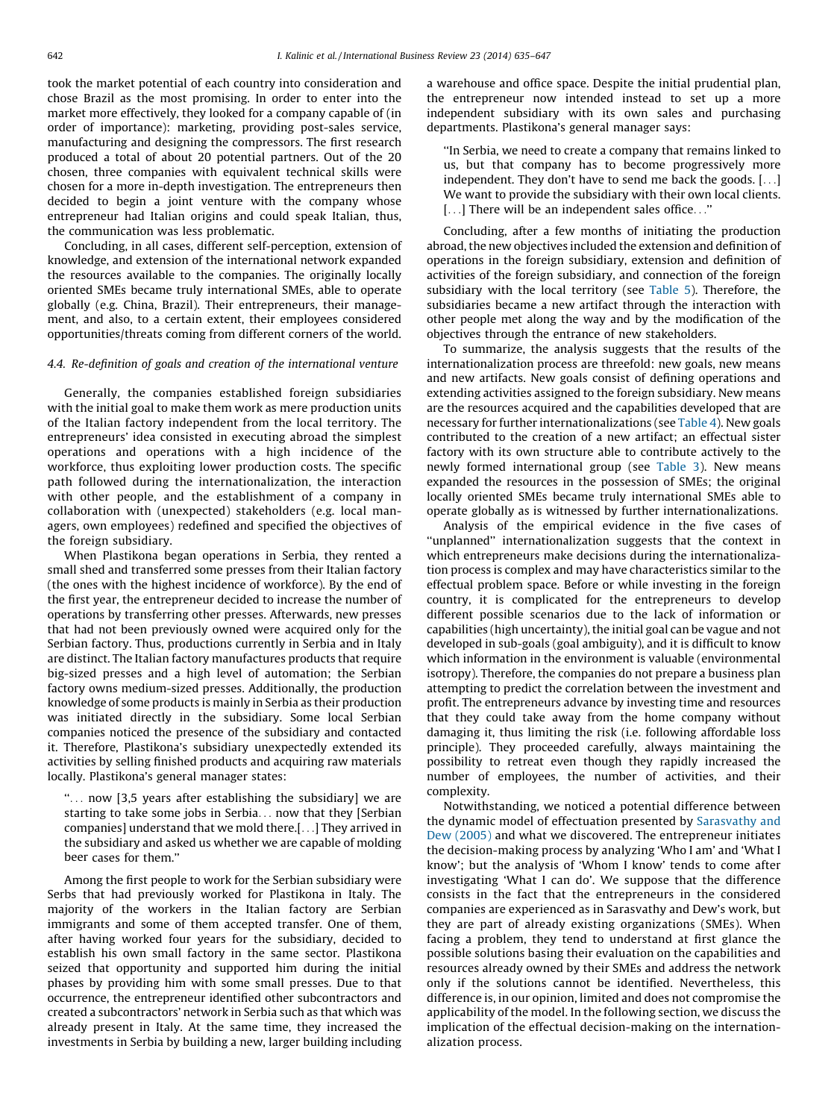took the market potential of each country into consideration and chose Brazil as the most promising. In order to enter into the market more effectively, they looked for a company capable of (in order of importance): marketing, providing post-sales service, manufacturing and designing the compressors. The first research produced a total of about 20 potential partners. Out of the 20 chosen, three companies with equivalent technical skills were chosen for a more in-depth investigation. The entrepreneurs then decided to begin a joint venture with the company whose entrepreneur had Italian origins and could speak Italian, thus, the communication was less problematic.

Concluding, in all cases, different self-perception, extension of knowledge, and extension of the international network expanded the resources available to the companies. The originally locally oriented SMEs became truly international SMEs, able to operate globally (e.g. China, Brazil). Their entrepreneurs, their management, and also, to a certain extent, their employees considered opportunities/threats coming from different corners of the world.

# 4.4. Re-definition of goals and creation of the international venture

Generally, the companies established foreign subsidiaries with the initial goal to make them work as mere production units of the Italian factory independent from the local territory. The entrepreneurs' idea consisted in executing abroad the simplest operations and operations with a high incidence of the workforce, thus exploiting lower production costs. The specific path followed during the internationalization, the interaction with other people, and the establishment of a company in collaboration with (unexpected) stakeholders (e.g. local managers, own employees) redefined and specified the objectives of the foreign subsidiary.

When Plastikona began operations in Serbia, they rented a small shed and transferred some presses from their Italian factory (the ones with the highest incidence of workforce). By the end of the first year, the entrepreneur decided to increase the number of operations by transferring other presses. Afterwards, new presses that had not been previously owned were acquired only for the Serbian factory. Thus, productions currently in Serbia and in Italy are distinct. The Italian factory manufactures products that require big-sized presses and a high level of automation; the Serbian factory owns medium-sized presses. Additionally, the production knowledge of some products is mainly in Serbia as their production was initiated directly in the subsidiary. Some local Serbian companies noticed the presence of the subsidiary and contacted it. Therefore, Plastikona's subsidiary unexpectedly extended its activities by selling finished products and acquiring raw materials locally. Plastikona's general manager states:

''. . . now [3,5 years after establishing the subsidiary] we are starting to take some jobs in Serbia. . . now that they [Serbian companies] understand that we mold there.[. . .] They arrived in the subsidiary and asked us whether we are capable of molding beer cases for them.''

Among the first people to work for the Serbian subsidiary were Serbs that had previously worked for Plastikona in Italy. The majority of the workers in the Italian factory are Serbian immigrants and some of them accepted transfer. One of them, after having worked four years for the subsidiary, decided to establish his own small factory in the same sector. Plastikona seized that opportunity and supported him during the initial phases by providing him with some small presses. Due to that occurrence, the entrepreneur identified other subcontractors and created a subcontractors' network in Serbia such as that which was already present in Italy. At the same time, they increased the investments in Serbia by building a new, larger building including a warehouse and office space. Despite the initial prudential plan, the entrepreneur now intended instead to set up a more independent subsidiary with its own sales and purchasing departments. Plastikona's general manager says:

''In Serbia, we need to create a company that remains linked to us, but that company has to become progressively more independent. They don't have to send me back the goods. [. . .] We want to provide the subsidiary with their own local clients. [. . .] There will be an independent sales office. . .''

Concluding, after a few months of initiating the production abroad, the new objectives included the extension and definition of operations in the foreign subsidiary, extension and definition of activities of the foreign subsidiary, and connection of the foreign subsidiary with the local territory (see [Table](#page-8-0) 5). Therefore, the subsidiaries became a new artifact through the interaction with other people met along the way and by the modification of the objectives through the entrance of new stakeholders.

To summarize, the analysis suggests that the results of the internationalization process are threefold: new goals, new means and new artifacts. New goals consist of defining operations and extending activities assigned to the foreign subsidiary. New means are the resources acquired and the capabilities developed that are necessary for further internationalizations (see [Table](#page-6-0) 4). New goals contributed to the creation of a new artifact; an effectual sister factory with its own structure able to contribute actively to the newly formed international group (see [Table](#page-5-0) 3). New means expanded the resources in the possession of SMEs; the original locally oriented SMEs became truly international SMEs able to operate globally as is witnessed by further internationalizations.

Analysis of the empirical evidence in the five cases of ''unplanned'' internationalization suggests that the context in which entrepreneurs make decisions during the internationalization process is complex and may have characteristics similar to the effectual problem space. Before or while investing in the foreign country, it is complicated for the entrepreneurs to develop different possible scenarios due to the lack of information or capabilities (high uncertainty), the initial goal can be vague and not developed in sub-goals (goal ambiguity), and it is difficult to know which information in the environment is valuable (environmental isotropy). Therefore, the companies do not prepare a business plan attempting to predict the correlation between the investment and profit. The entrepreneurs advance by investing time and resources that they could take away from the home company without damaging it, thus limiting the risk (i.e. following affordable loss principle). They proceeded carefully, always maintaining the possibility to retreat even though they rapidly increased the number of employees, the number of activities, and their complexity.

Notwithstanding, we noticed a potential difference between the dynamic model of effectuation presented by [Sarasvathy](#page-11-0) and Dew [\(2005\)](#page-11-0) and what we discovered. The entrepreneur initiates the decision-making process by analyzing 'Who I am' and 'What I know'; but the analysis of 'Whom I know' tends to come after investigating 'What I can do'. We suppose that the difference consists in the fact that the entrepreneurs in the considered companies are experienced as in Sarasvathy and Dew's work, but they are part of already existing organizations (SMEs). When facing a problem, they tend to understand at first glance the possible solutions basing their evaluation on the capabilities and resources already owned by their SMEs and address the network only if the solutions cannot be identified. Nevertheless, this difference is, in our opinion, limited and does not compromise the applicability of the model. In the following section, we discuss the implication of the effectual decision-making on the internationalization process.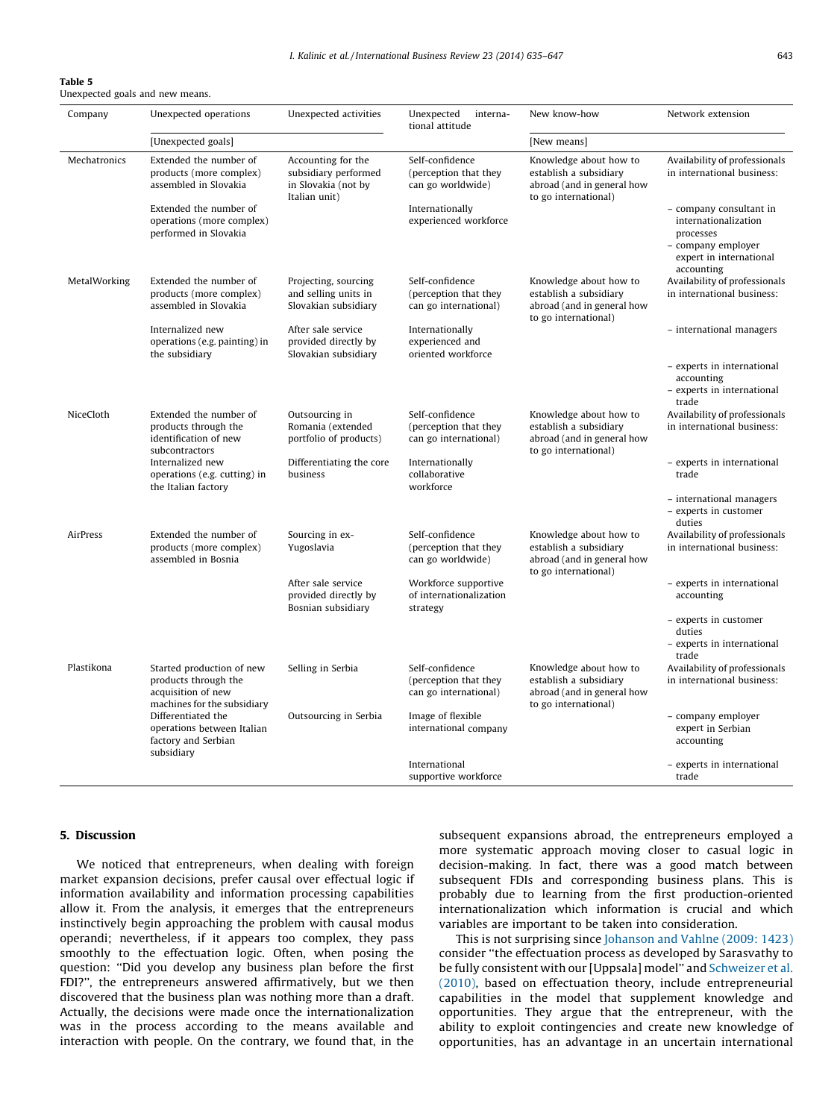#### <span id="page-8-0"></span>Table 5

Unexpected goals and new means.

| Company      | Unexpected operations                                                                                  | Unexpected activities                                                              | Unexpected<br>interna-<br>tional attitude                         | New know-how                                                                                           | Network extension                                                                                                           |
|--------------|--------------------------------------------------------------------------------------------------------|------------------------------------------------------------------------------------|-------------------------------------------------------------------|--------------------------------------------------------------------------------------------------------|-----------------------------------------------------------------------------------------------------------------------------|
|              | [Unexpected goals]                                                                                     |                                                                                    |                                                                   | [New means]                                                                                            |                                                                                                                             |
| Mechatronics | Extended the number of<br>products (more complex)<br>assembled in Slovakia                             | Accounting for the<br>subsidiary performed<br>in Slovakia (not by<br>Italian unit) | Self-confidence<br>(perception that they<br>can go worldwide)     | Knowledge about how to<br>establish a subsidiary<br>abroad (and in general how<br>to go international) | Availability of professionals<br>in international business:                                                                 |
|              | Extended the number of<br>operations (more complex)<br>performed in Slovakia                           |                                                                                    | Internationally<br>experienced workforce                          |                                                                                                        | - company consultant in<br>internationalization<br>processes<br>- company employer<br>expert in international<br>accounting |
| MetalWorking | Extended the number of<br>products (more complex)<br>assembled in Slovakia                             | Projecting, sourcing<br>and selling units in<br>Slovakian subsidiary               | Self-confidence<br>(perception that they<br>can go international) | Knowledge about how to<br>establish a subsidiary<br>abroad (and in general how<br>to go international) | Availability of professionals<br>in international business:                                                                 |
|              | Internalized new<br>operations (e.g. painting) in<br>the subsidiary                                    | After sale service<br>provided directly by<br>Slovakian subsidiary                 | Internationally<br>experienced and<br>oriented workforce          |                                                                                                        | - international managers                                                                                                    |
|              |                                                                                                        |                                                                                    |                                                                   |                                                                                                        | - experts in international<br>accounting<br>- experts in international<br>trade                                             |
| NiceCloth    | Extended the number of<br>products through the<br>identification of new<br>subcontractors              | Outsourcing in<br>Romania (extended<br>portfolio of products)                      | Self-confidence<br>(perception that they<br>can go international) | Knowledge about how to<br>establish a subsidiary<br>abroad (and in general how<br>to go international) | Availability of professionals<br>in international business:                                                                 |
|              | Internalized new<br>operations (e.g. cutting) in<br>the Italian factory                                | Differentiating the core<br>business                                               | Internationally<br>collaborative<br>workforce                     |                                                                                                        | - experts in international<br>trade<br>- international managers                                                             |
|              |                                                                                                        |                                                                                    |                                                                   |                                                                                                        | - experts in customer<br>duties                                                                                             |
| AirPress     | Extended the number of<br>products (more complex)<br>assembled in Bosnia                               | Sourcing in ex-<br>Yugoslavia                                                      | Self-confidence<br>(perception that they<br>can go worldwide)     | Knowledge about how to<br>establish a subsidiary<br>abroad (and in general how<br>to go international) | Availability of professionals<br>in international business:                                                                 |
|              |                                                                                                        | After sale service<br>provided directly by<br>Bosnian subsidiary                   | Workforce supportive<br>of internationalization<br>strategy       |                                                                                                        | - experts in international<br>accounting                                                                                    |
|              |                                                                                                        |                                                                                    |                                                                   |                                                                                                        | - experts in customer<br>duties<br>- experts in international<br>trade                                                      |
| Plastikona   | Started production of new<br>products through the<br>acquisition of new<br>machines for the subsidiary | Selling in Serbia                                                                  | Self-confidence<br>(perception that they<br>can go international) | Knowledge about how to<br>establish a subsidiary<br>abroad (and in general how<br>to go international) | Availability of professionals<br>in international business:                                                                 |
|              | Differentiated the<br>operations between Italian<br>factory and Serbian<br>subsidiary                  | Outsourcing in Serbia                                                              | Image of flexible<br>international company                        |                                                                                                        | - company employer<br>expert in Serbian<br>accounting                                                                       |
|              |                                                                                                        |                                                                                    | International<br>supportive workforce                             |                                                                                                        | - experts in international<br>trade                                                                                         |

# 5. Discussion

We noticed that entrepreneurs, when dealing with foreign market expansion decisions, prefer causal over effectual logic if information availability and information processing capabilities allow it. From the analysis, it emerges that the entrepreneurs instinctively begin approaching the problem with causal modus operandi; nevertheless, if it appears too complex, they pass smoothly to the effectuation logic. Often, when posing the question: ''Did you develop any business plan before the first FDI?'', the entrepreneurs answered affirmatively, but we then discovered that the business plan was nothing more than a draft. Actually, the decisions were made once the internationalization was in the process according to the means available and interaction with people. On the contrary, we found that, in the

subsequent expansions abroad, the entrepreneurs employed a more systematic approach moving closer to casual logic in decision-making. In fact, there was a good match between subsequent FDIs and corresponding business plans. This is probably due to learning from the first production-oriented internationalization which information is crucial and which variables are important to be taken into consideration.

This is not surprising since [Johanson](#page-11-0) and Vahlne (2009: 1423) consider ''the effectuation process as developed by Sarasvathy to be fully consistent with our [Uppsala] model'' and [Schweizer](#page-11-0) et al. [\(2010\)](#page-11-0), based on effectuation theory, include entrepreneurial capabilities in the model that supplement knowledge and opportunities. They argue that the entrepreneur, with the ability to exploit contingencies and create new knowledge of opportunities, has an advantage in an uncertain international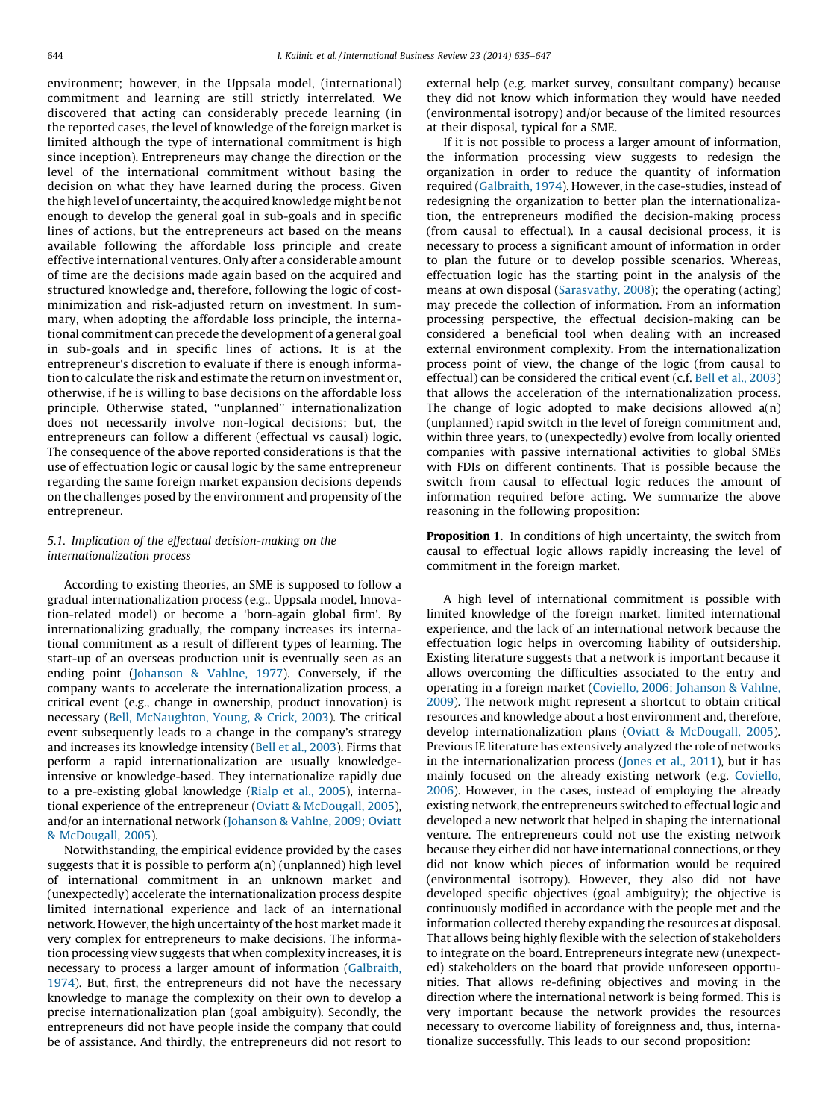environment; however, in the Uppsala model, (international) commitment and learning are still strictly interrelated. We discovered that acting can considerably precede learning (in the reported cases, the level of knowledge of the foreign market is limited although the type of international commitment is high since inception). Entrepreneurs may change the direction or the level of the international commitment without basing the decision on what they have learned during the process. Given the high level of uncertainty, the acquired knowledge might be not enough to develop the general goal in sub-goals and in specific lines of actions, but the entrepreneurs act based on the means available following the affordable loss principle and create effective international ventures. Only after a considerable amount of time are the decisions made again based on the acquired and structured knowledge and, therefore, following the logic of costminimization and risk-adjusted return on investment. In summary, when adopting the affordable loss principle, the international commitment can precede the development of a general goal in sub-goals and in specific lines of actions. It is at the entrepreneur's discretion to evaluate if there is enough information to calculate the risk and estimate the return on investment or, otherwise, if he is willing to base decisions on the affordable loss principle. Otherwise stated, ''unplanned'' internationalization does not necessarily involve non-logical decisions; but, the entrepreneurs can follow a different (effectual vs causal) logic. The consequence of the above reported considerations is that the use of effectuation logic or causal logic by the same entrepreneur regarding the same foreign market expansion decisions depends on the challenges posed by the environment and propensity of the entrepreneur.

# 5.1. Implication of the effectual decision-making on the internationalization process

According to existing theories, an SME is supposed to follow a gradual internationalization process (e.g., Uppsala model, Innovation-related model) or become a 'born-again global firm'. By internationalizing gradually, the company increases its international commitment as a result of different types of learning. The start-up of an overseas production unit is eventually seen as an ending point ([Johanson](#page-11-0) & Vahlne, 1977). Conversely, if the company wants to accelerate the internationalization process, a critical event (e.g., change in ownership, product innovation) is necessary (Bell, [McNaughton,](#page-11-0) Young, & Crick, 2003). The critical event subsequently leads to a change in the company's strategy and increases its knowledge intensity (Bell et al., [2003\)](#page-11-0). Firms that perform a rapid internationalization are usually knowledgeintensive or knowledge-based. They internationalize rapidly due to a pre-existing global knowledge [\(Rialp](#page-11-0) et al., 2005), international experience of the entrepreneur (Oviatt & [McDougall,](#page-11-0) 2005), and/or an international network ([Johanson](#page-11-0) & Vahlne, 2009; Oviatt & [McDougall,](#page-11-0) 2005).

Notwithstanding, the empirical evidence provided by the cases suggests that it is possible to perform  $a(n)$  (unplanned) high level of international commitment in an unknown market and (unexpectedly) accelerate the internationalization process despite limited international experience and lack of an international network. However, the high uncertainty of the host market made it very complex for entrepreneurs to make decisions. The information processing view suggests that when complexity increases, it is necessary to process a larger amount of information [\(Galbraith,](#page-11-0) [1974](#page-11-0)). But, first, the entrepreneurs did not have the necessary knowledge to manage the complexity on their own to develop a precise internationalization plan (goal ambiguity). Secondly, the entrepreneurs did not have people inside the company that could be of assistance. And thirdly, the entrepreneurs did not resort to external help (e.g. market survey, consultant company) because they did not know which information they would have needed (environmental isotropy) and/or because of the limited resources at their disposal, typical for a SME.

If it is not possible to process a larger amount of information, the information processing view suggests to redesign the organization in order to reduce the quantity of information required [\(Galbraith,](#page-11-0) 1974). However, in the case-studies, instead of redesigning the organization to better plan the internationalization, the entrepreneurs modified the decision-making process (from causal to effectual). In a causal decisional process, it is necessary to process a significant amount of information in order to plan the future or to develop possible scenarios. Whereas, effectuation logic has the starting point in the analysis of the means at own disposal [\(Sarasvathy,](#page-11-0) 2008); the operating (acting) may precede the collection of information. From an information processing perspective, the effectual decision-making can be considered a beneficial tool when dealing with an increased external environment complexity. From the internationalization process point of view, the change of the logic (from causal to effectual) can be considered the critical event (c.f. Bell et al., [2003\)](#page-11-0) that allows the acceleration of the internationalization process. The change of logic adopted to make decisions allowed  $a(n)$ (unplanned) rapid switch in the level of foreign commitment and, within three years, to (unexpectedly) evolve from locally oriented companies with passive international activities to global SMEs with FDIs on different continents. That is possible because the switch from causal to effectual logic reduces the amount of information required before acting. We summarize the above reasoning in the following proposition:

Proposition 1. In conditions of high uncertainty, the switch from causal to effectual logic allows rapidly increasing the level of commitment in the foreign market.

A high level of international commitment is possible with limited knowledge of the foreign market, limited international experience, and the lack of an international network because the effectuation logic helps in overcoming liability of outsidership. Existing literature suggests that a network is important because it allows overcoming the difficulties associated to the entry and operating in a foreign market (Coviello, 2006; [Johanson](#page-11-0) & Vahlne, [2009\)](#page-11-0). The network might represent a shortcut to obtain critical resources and knowledge about a host environment and, therefore, develop internationalization plans (Oviatt & [McDougall,](#page-11-0) 2005). Previous IE literature has extensively analyzed the role of networks in the internationalization process [\(Jones](#page-11-0) et al., 2011), but it has mainly focused on the already existing network (e.g. [Coviello,](#page-11-0) [2006\)](#page-11-0). However, in the cases, instead of employing the already existing network, the entrepreneurs switched to effectual logic and developed a new network that helped in shaping the international venture. The entrepreneurs could not use the existing network because they either did not have international connections, or they did not know which pieces of information would be required (environmental isotropy). However, they also did not have developed specific objectives (goal ambiguity); the objective is continuously modified in accordance with the people met and the information collected thereby expanding the resources at disposal. That allows being highly flexible with the selection of stakeholders to integrate on the board. Entrepreneurs integrate new (unexpected) stakeholders on the board that provide unforeseen opportunities. That allows re-defining objectives and moving in the direction where the international network is being formed. This is very important because the network provides the resources necessary to overcome liability of foreignness and, thus, internationalize successfully. This leads to our second proposition: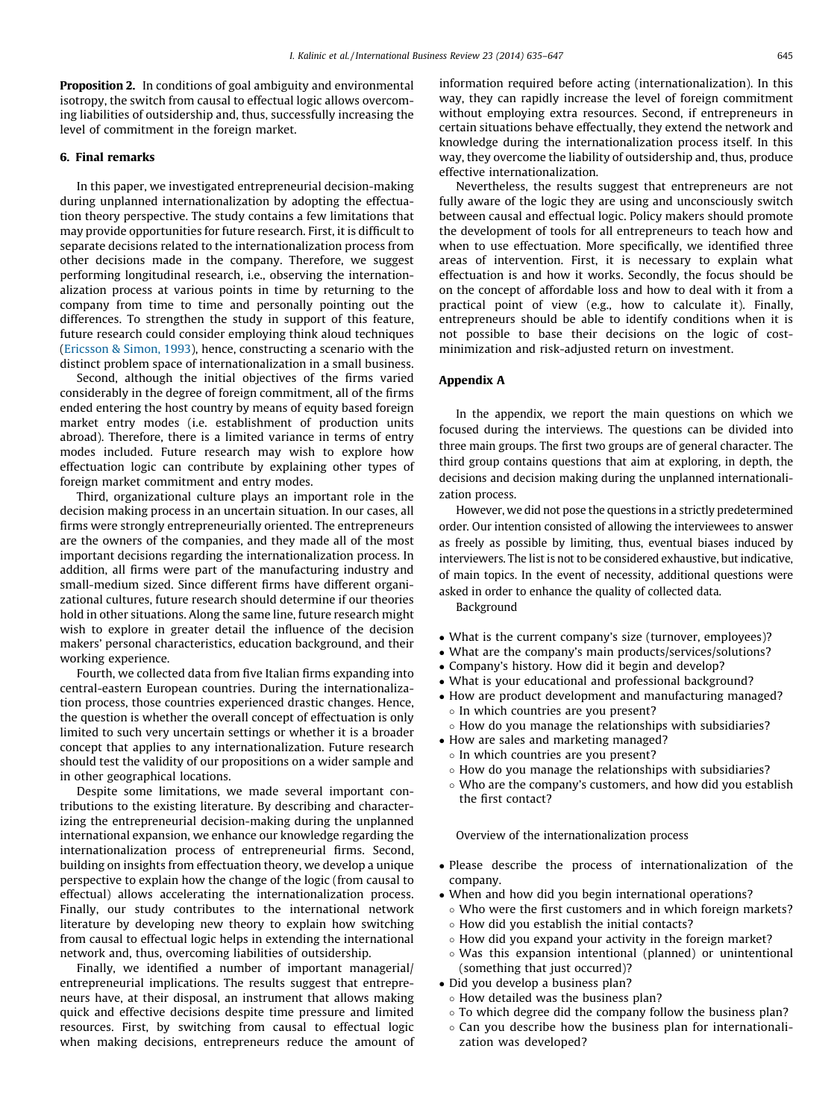Proposition 2. In conditions of goal ambiguity and environmental isotropy, the switch from causal to effectual logic allows overcoming liabilities of outsidership and, thus, successfully increasing the level of commitment in the foreign market.

# 6. Final remarks

In this paper, we investigated entrepreneurial decision-making during unplanned internationalization by adopting the effectuation theory perspective. The study contains a few limitations that may provide opportunities for future research. First, it is difficult to separate decisions related to the internationalization process from other decisions made in the company. Therefore, we suggest performing longitudinal research, i.e., observing the internationalization process at various points in time by returning to the company from time to time and personally pointing out the differences. To strengthen the study in support of this feature, future research could consider employing think aloud techniques ([Ericsson](#page-11-0) & Simon, 1993), hence, constructing a scenario with the distinct problem space of internationalization in a small business.

Second, although the initial objectives of the firms varied considerably in the degree of foreign commitment, all of the firms ended entering the host country by means of equity based foreign market entry modes (i.e. establishment of production units abroad). Therefore, there is a limited variance in terms of entry modes included. Future research may wish to explore how effectuation logic can contribute by explaining other types of foreign market commitment and entry modes.

Third, organizational culture plays an important role in the decision making process in an uncertain situation. In our cases, all firms were strongly entrepreneurially oriented. The entrepreneurs are the owners of the companies, and they made all of the most important decisions regarding the internationalization process. In addition, all firms were part of the manufacturing industry and small-medium sized. Since different firms have different organizational cultures, future research should determine if our theories hold in other situations. Along the same line, future research might wish to explore in greater detail the influence of the decision makers' personal characteristics, education background, and their working experience.

Fourth, we collected data from five Italian firms expanding into central-eastern European countries. During the internationalization process, those countries experienced drastic changes. Hence, the question is whether the overall concept of effectuation is only limited to such very uncertain settings or whether it is a broader concept that applies to any internationalization. Future research should test the validity of our propositions on a wider sample and in other geographical locations.

Despite some limitations, we made several important contributions to the existing literature. By describing and characterizing the entrepreneurial decision-making during the unplanned international expansion, we enhance our knowledge regarding the internationalization process of entrepreneurial firms. Second, building on insights from effectuation theory, we develop a unique perspective to explain how the change of the logic (from causal to effectual) allows accelerating the internationalization process. Finally, our study contributes to the international network literature by developing new theory to explain how switching from causal to effectual logic helps in extending the international network and, thus, overcoming liabilities of outsidership.

Finally, we identified a number of important managerial/ entrepreneurial implications. The results suggest that entrepreneurs have, at their disposal, an instrument that allows making quick and effective decisions despite time pressure and limited resources. First, by switching from causal to effectual logic when making decisions, entrepreneurs reduce the amount of information required before acting (internationalization). In this way, they can rapidly increase the level of foreign commitment without employing extra resources. Second, if entrepreneurs in certain situations behave effectually, they extend the network and knowledge during the internationalization process itself. In this way, they overcome the liability of outsidership and, thus, produce effective internationalization.

Nevertheless, the results suggest that entrepreneurs are not fully aware of the logic they are using and unconsciously switch between causal and effectual logic. Policy makers should promote the development of tools for all entrepreneurs to teach how and when to use effectuation. More specifically, we identified three areas of intervention. First, it is necessary to explain what effectuation is and how it works. Secondly, the focus should be on the concept of affordable loss and how to deal with it from a practical point of view (e.g., how to calculate it). Finally, entrepreneurs should be able to identify conditions when it is not possible to base their decisions on the logic of costminimization and risk-adjusted return on investment.

# Appendix A

In the appendix, we report the main questions on which we focused during the interviews. The questions can be divided into three main groups. The first two groups are of general character. The third group contains questions that aim at exploring, in depth, the decisions and decision making during the unplanned internationalization process.

However, we did not pose the questions in a strictly predetermined order. Our intention consisted of allowing the interviewees to answer as freely as possible by limiting, thus, eventual biases induced by interviewers. The list is not to be considered exhaustive, but indicative, of main topics. In the event of necessity, additional questions were asked in order to enhance the quality of collected data.

Background

- What is the current company's size (turnover, employees)?
- What are the company's main products/services/solutions?
- Company's history. How did it begin and develop?
- What is your educational and professional background?
- How are product development and manufacturing managed? o In which countries are you present?
- $\circ$  How do you manage the relationships with subsidiaries?
- How are sales and marketing managed?
- o In which countries are you present?
- How do you manage the relationships with subsidiaries?
- Who are the company's customers, and how did you establish the first contact?

Overview of the internationalization process

- Please describe the process of internationalization of the company.
- When and how did you begin international operations?
	- Who were the first customers and in which foreign markets? How did you establish the initial contacts?
	- How did you expand your activity in the foreign market?
	- Was this expansion intentional (planned) or unintentional (something that just occurred)?
- Did you develop a business plan?
- How detailed was the business plan?
- To which degree did the company follow the business plan?
- Can you describe how the business plan for internationalization was developed?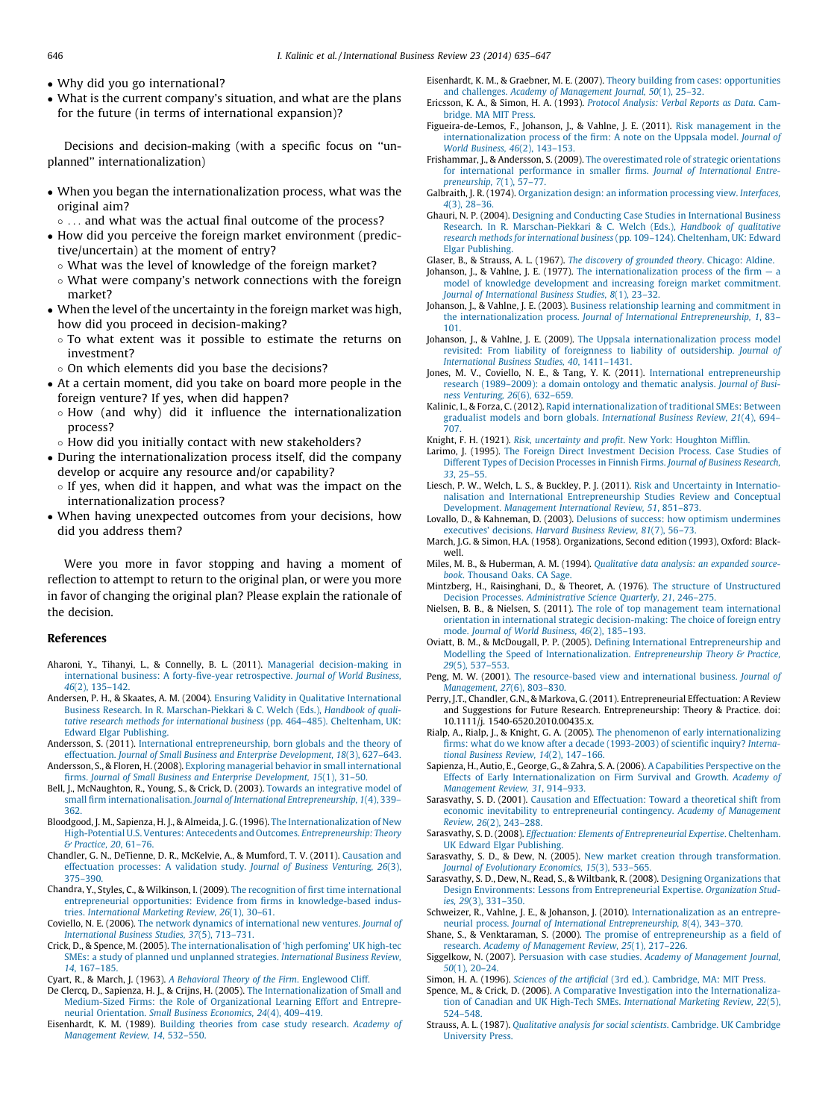- <span id="page-11-0"></span>- Why did you go international?
- What is the current company's situation, and what are the plans for the future (in terms of international expansion)?

Decisions and decision-making (with a specific focus on ''unplanned'' internationalization)

- When you began the internationalization process, what was the original aim?
- . . . and what was the actual final outcome of the process?
- How did you perceive the foreign market environment (predictive/uncertain) at the moment of entry?
- What was the level of knowledge of the foreign market?
- What were company's network connections with the foreign market?
- When the level of the uncertainty in the foreign market was high, how did you proceed in decision-making?
- To what extent was it possible to estimate the returns on investment?
- On which elements did you base the decisions?
- At a certain moment, did you take on board more people in the foreign venture? If yes, when did happen?
- How (and why) did it influence the internationalization process?
- o How did you initially contact with new stakeholders?
- During the internationalization process itself, did the company develop or acquire any resource and/or capability?
- $\circ$  If yes, when did it happen, and what was the impact on the internationalization process?
- When having unexpected outcomes from your decisions, how did you address them?

Were you more in favor stopping and having a moment of reflection to attempt to return to the original plan, or were you more in favor of changing the original plan? Please explain the rationale of the decision.

# References

- Aharoni, Y., Tihanyi, L., & Connelly, B. L. (2011). Managerial [decision-making](http://refhub.elsevier.com/S0969-5931(13)00154-6/sbref0005) in international business: A [forty-five-year](http://refhub.elsevier.com/S0969-5931(13)00154-6/sbref0005) retrospective. Journal of World Business, 46(2), [135–142.](http://refhub.elsevier.com/S0969-5931(13)00154-6/sbref0005)
- Andersen, P. H., & Skaates, A. M. (2004). Ensuring Validity in Qualitative [International](http://refhub.elsevier.com/S0969-5931(13)00154-6/sbref0010) Business Research. In R. [Marschan-Piekkari](http://refhub.elsevier.com/S0969-5931(13)00154-6/sbref0010) & C. Welch (Eds.), Handbook of qualitative research methods for international business (pp. 464–485). [Cheltenham,](http://refhub.elsevier.com/S0969-5931(13)00154-6/sbref0010) UK: Edward Elgar [Publishing](http://refhub.elsevier.com/S0969-5931(13)00154-6/sbref0010).
- Andersson, S. (2011). International [entrepreneurship,](http://refhub.elsevier.com/S0969-5931(13)00154-6/sbref0015) born globals and the theory of effectuation. Journal of Small Business and Enterprise [Development,](http://refhub.elsevier.com/S0969-5931(13)00154-6/sbref0015) 18(3), 627–643. Andersson, S., & Floren, H. (2008). Exploring managerial behavior in small [international](http://refhub.elsevier.com/S0969-5931(13)00154-6/sbref0020)
- firms. Journal of Small Business and Enterprise [Development,](http://refhub.elsevier.com/S0969-5931(13)00154-6/sbref0020) 15(1), 31–50. Bell, J., McNaughton, R., Young, S., & Crick, D. (2003). Towards an [integrative](http://refhub.elsevier.com/S0969-5931(13)00154-6/sbref0025) model of small firm [internationalisation.](http://refhub.elsevier.com/S0969-5931(13)00154-6/sbref0025) Journal of International Entrepreneurship, 1(4), 339–
- [362.](http://refhub.elsevier.com/S0969-5931(13)00154-6/sbref0025) Bloodgood, J. M., Sapienza, H. J., & Almeida, J. G. (1996). The [Internationalization](http://refhub.elsevier.com/S0969-5931(13)00154-6/sbref0030) of New
- High-Potential U.S. Ventures: Antecedents and Outcomes. [Entrepreneurship:](http://refhub.elsevier.com/S0969-5931(13)00154-6/sbref0030) Theory & [Practice,](http://refhub.elsevier.com/S0969-5931(13)00154-6/sbref0030) 20, 61–76. Chandler, G. N., DeTienne, D. R., McKelvie, A., & Mumford, T. V. (2011). [Causation](http://refhub.elsevier.com/S0969-5931(13)00154-6/sbref0035) and
- [effectuation](http://refhub.elsevier.com/S0969-5931(13)00154-6/sbref0035) processes: A validation study. Journal of Business Venturing, 26(3), [375–390.](http://refhub.elsevier.com/S0969-5931(13)00154-6/sbref0035)
- Chandra, Y., Styles, C., & Wilkinson, I. (2009). The recognition of first time [international](http://refhub.elsevier.com/S0969-5931(13)00154-6/sbref0040) entrepreneurial opportunities: Evidence from firms in [knowledge-based](http://refhub.elsevier.com/S0969-5931(13)00154-6/sbref0040) industries. [International](http://refhub.elsevier.com/S0969-5931(13)00154-6/sbref0040) Marketing Review, 26(1), 30–61.
- Coviello, N. E. (2006). The network dynamics of [international](http://refhub.elsevier.com/S0969-5931(13)00154-6/sbref0045) new ventures. Journal of [International](http://refhub.elsevier.com/S0969-5931(13)00154-6/sbref0045) Business Studies, 37(5), 713–731.
- Crick, D., & Spence, M. (2005). The [internationalisation](http://refhub.elsevier.com/S0969-5931(13)00154-6/sbref0050) of 'high perfoming' UK high-tec SMEs: a study of planned und unplanned strategies. [International](http://refhub.elsevier.com/S0969-5931(13)00154-6/sbref0050) Business Review, 14, [167–185](http://refhub.elsevier.com/S0969-5931(13)00154-6/sbref0050).
- Cyart, R., & March, J. (1963). A Behavioral Theory of the Firm. [Englewood](http://refhub.elsevier.com/S0969-5931(13)00154-6/sbref0055) Cliff.
- De Clercq, D., Sapienza, H. J., & Crijns, H. (2005). The [Internationalization](http://refhub.elsevier.com/S0969-5931(13)00154-6/sbref0060) of Small and Medium-Sized Firms: the Role of [Organizational](http://refhub.elsevier.com/S0969-5931(13)00154-6/sbref0060) Learning Effort and Entrepreneurial [Orientation.](http://refhub.elsevier.com/S0969-5931(13)00154-6/sbref0060) Small Business Economics, 24(4), 409–419.
- Eisenhardt, K. M. (1989). Building theories from case study [research.](http://refhub.elsevier.com/S0969-5931(13)00154-6/sbref0065) Academy of [Management](http://refhub.elsevier.com/S0969-5931(13)00154-6/sbref0065) Review, 14, 532–550.
- Eisenhardt, K. M., & Graebner, M. E. (2007). Theory building from cases: [opportunities](http://refhub.elsevier.com/S0969-5931(13)00154-6/sbref0070) and challenges. Academy of [Management](http://refhub.elsevier.com/S0969-5931(13)00154-6/sbref0070) Journal, 50(1), 25–32.
- Ericsson, K. A., & Simon, H. A. (1993). Protocol [Analysis:](http://refhub.elsevier.com/S0969-5931(13)00154-6/sbref0075) Verbal Reports as Data. Cam[bridge.](http://refhub.elsevier.com/S0969-5931(13)00154-6/sbref0075) MA MIT Press.
- Figueira-de-Lemos, F., Johanson, J., & Vahlne, J. E. (2011). Risk [management](http://refhub.elsevier.com/S0969-5931(13)00154-6/sbref0080) in the [internationalization](http://refhub.elsevier.com/S0969-5931(13)00154-6/sbref0080) process of the firm: A note on the Uppsala model. Journal of World Business,  $46(2)$ , [143–153](http://refhub.elsevier.com/S0969-5931(13)00154-6/sbref0080).
- Frishammar, J., & Andersson, S. (2009). The [overestimated](http://refhub.elsevier.com/S0969-5931(13)00154-6/sbref0085) role of strategic orientations for [international](http://refhub.elsevier.com/S0969-5931(13)00154-6/sbref0085) performance in smaller firms. Journal of International Entre[preneurship,](http://refhub.elsevier.com/S0969-5931(13)00154-6/sbref0085) 7(1), 57–77.
- Galbraith, J. R. (1974). [Organization](http://refhub.elsevier.com/S0969-5931(13)00154-6/sbref0090) design: an information processing view. Interfaces, 4(3), [28–36.](http://refhub.elsevier.com/S0969-5931(13)00154-6/sbref0090)
- Ghauri, N. P. (2004). Designing and Conducting Case Studies in [International](http://refhub.elsevier.com/S0969-5931(13)00154-6/sbref0095) Business Research. In R. [Marschan-Piekkari](http://refhub.elsevier.com/S0969-5931(13)00154-6/sbref0095) & C. Welch (Eds.), Handbook of qualitative research methods for international business (pp. 109–124). [Cheltenham,](http://refhub.elsevier.com/S0969-5931(13)00154-6/sbref0095) UK: Edward Elgar [Publishing.](http://refhub.elsevier.com/S0969-5931(13)00154-6/sbref0095)
- Glaser, B., & Strauss, A. L. (1967). The discovery of [grounded](http://refhub.elsevier.com/S0969-5931(13)00154-6/sbref0100) theory. Chicago: Aldine.
- Johanson, J., & Vahlne, J. E. (1977). The [internationalization](http://refhub.elsevier.com/S0969-5931(13)00154-6/sbref0105) process of the firm  $-$  a model of knowledge development and increasing foreign market [commitment.](http://refhub.elsevier.com/S0969-5931(13)00154-6/sbref0105) Journal of [International](http://refhub.elsevier.com/S0969-5931(13)00154-6/sbref0105) Business Studies, 8(1), 23–32.
- Johanson, J., & Vahlne, J. E. (2003). Business relationship learning and [commitment](http://refhub.elsevier.com/S0969-5931(13)00154-6/sbref0110) in the [internationalization](http://refhub.elsevier.com/S0969-5931(13)00154-6/sbref0110) process. Journal of International Entrepreneurship, 1, 83– [101.](http://refhub.elsevier.com/S0969-5931(13)00154-6/sbref0110)
- Johanson, J., & Vahlne, J. E. (2009). The Uppsala [internationalization](http://refhub.elsevier.com/S0969-5931(13)00154-6/sbref0115) process model revisited: From liability of foreignness to liability of [outsidership.](http://refhub.elsevier.com/S0969-5931(13)00154-6/sbref0115) Journal of [International](http://refhub.elsevier.com/S0969-5931(13)00154-6/sbref0115) Business Studies, 40, 1411–1431.
- Jones, M. V., Coviello, N. E., & Tang, Y. K. (2011). International [entrepreneurship](http://refhub.elsevier.com/S0969-5931(13)00154-6/sbref0120) research [\(1989–2009\):](http://refhub.elsevier.com/S0969-5931(13)00154-6/sbref0120) a domain ontology and thematic analysis. Journal of Business [Venturing,](http://refhub.elsevier.com/S0969-5931(13)00154-6/sbref0120) 26(6), 632–659.
- Kalinic, I., & Forza, C. (2012). Rapid [internationalization](http://refhub.elsevier.com/S0969-5931(13)00154-6/sbref0125) of traditional SMEs: Between gradualist models and born globals. [International](http://refhub.elsevier.com/S0969-5931(13)00154-6/sbref0125) Business Review, 21(4), 694– [707](http://refhub.elsevier.com/S0969-5931(13)00154-6/sbref0125).
- Knight, F. H. (1921). Risk, [uncertainty](http://refhub.elsevier.com/S0969-5931(13)00154-6/sbref0130) and profit. New York: Houghton Mifflin.
- Larimo, J. (1995). The Foreign Direct [Investment](http://refhub.elsevier.com/S0969-5931(13)00154-6/sbref0135) Decision Process. Case Studies of Different Types of Decision [Processes](http://refhub.elsevier.com/S0969-5931(13)00154-6/sbref0135) in Finnish Firms. Journal of Business Research, 33, [25–55.](http://refhub.elsevier.com/S0969-5931(13)00154-6/sbref0135)
- Liesch, P. W., Welch, L. S., & Buckley, P. J. (2011). Risk and [Uncertainty](http://refhub.elsevier.com/S0969-5931(13)00154-6/sbref0140) in Internationalisation and International [Entrepreneurship](http://refhub.elsevier.com/S0969-5931(13)00154-6/sbref0140) Studies Review and Conceptual [Development.](http://refhub.elsevier.com/S0969-5931(13)00154-6/sbref0140) Management International Review, 51, 851–873.
- Lovallo, D., & Kahneman, D. (2003). Delusions of success: how optimism [undermines](http://refhub.elsevier.com/S0969-5931(13)00154-6/sbref0145) [executives'](http://refhub.elsevier.com/S0969-5931(13)00154-6/sbref0145) decisions. Harvard Business Review, 81(7), 56–73.
- March, J.G. & Simon, H.A. (1958). Organizations, Second edition (1993), Oxford: Blackwell.
- Miles, M. B., & Huberman, A. M. (1994). [Qualitative](http://refhub.elsevier.com/S0969-5931(13)00154-6/sbref0155) data analysis: an expanded sourcebook. [Thousand](http://refhub.elsevier.com/S0969-5931(13)00154-6/sbref0155) Oaks. CA Sage.
- Mintzberg, H., Raisinghani, D., & Theoret, A. (1976). The structure of [Unstructured](http://refhub.elsevier.com/S0969-5931(13)00154-6/sbref0160) Decision Processes. [Administrative](http://refhub.elsevier.com/S0969-5931(13)00154-6/sbref0160) Science Quarterly, 21, 246–275.
- Nielsen, B. B., & Nielsen, S. (2011). The role of top [management](http://refhub.elsevier.com/S0969-5931(13)00154-6/sbref0165) team international orientation in international strategic [decision-making:](http://refhub.elsevier.com/S0969-5931(13)00154-6/sbref0165) The choice of foreign entry mode. Journal of World Business, 46(2), 185-193.
- Oviatt, B. M., & McDougall, P. P. (2005). Defining International [Entrepreneurship](http://refhub.elsevier.com/S0969-5931(13)00154-6/sbref0170) and Modelling the Speed of [Internationalization.](http://refhub.elsevier.com/S0969-5931(13)00154-6/sbref0170) Entrepreneurship Theory & Practice, 29(5), [537–553.](http://refhub.elsevier.com/S0969-5931(13)00154-6/sbref0170)
- Peng, M. W. (2001). The [resource-based](http://refhub.elsevier.com/S0969-5931(13)00154-6/sbref0175) view and international business. Journal of [Management,](http://refhub.elsevier.com/S0969-5931(13)00154-6/sbref0175) 27(6), 803–830.
- Perry, J.T., Chandler, G.N., & Markova, G. (2011). Entrepreneurial Effectuation: A Review and Suggestions for Future Research. Entrepreneurship: Theory & Practice. doi: 10.1111/j. 1540-6520.2010.00435.x.
- Rialp, A., Rialp, J., & Knight, G. A. (2005). The phenomenon of early [internationalizing](http://refhub.elsevier.com/S0969-5931(13)00154-6/sbref0185) firms: what do we know after a decade [\(1993-2003\)](http://refhub.elsevier.com/S0969-5931(13)00154-6/sbref0185) of scientific inquiry? International Business Review, 14(2), [147–166.](http://refhub.elsevier.com/S0969-5931(13)00154-6/sbref0185)
- Sapienza, H., Autio, E., George, G., & Zahra, S. A. (2006). A [Capabilities](http://refhub.elsevier.com/S0969-5931(13)00154-6/sbref0190) Perspective on the Effects of Early [Internationalization](http://refhub.elsevier.com/S0969-5931(13)00154-6/sbref0190) on Firm Survival and Growth. Academy of [Management](http://refhub.elsevier.com/S0969-5931(13)00154-6/sbref0190) Review, 31, 914–933.
- Sarasvathy, S. D. (2001). Causation and [Effectuation:](http://refhub.elsevier.com/S0969-5931(13)00154-6/sbref0195) Toward a theoretical shift from economic inevitability to [entrepreneurial](http://refhub.elsevier.com/S0969-5931(13)00154-6/sbref0195) contingency. Academy of Management Review, 26(2), [243–288](http://refhub.elsevier.com/S0969-5931(13)00154-6/sbref0195).
- Sarasvathy, S. D. (2008). Effectuation: Elements of [Entrepreneurial](http://refhub.elsevier.com/S0969-5931(13)00154-6/sbref0200) Expertise. Cheltenham.
- UK Edward Elgar [Publishing](http://refhub.elsevier.com/S0969-5931(13)00154-6/sbref0200). Sarasvathy, S. D., & Dew, N. (2005). New market creation through [transformation.](http://refhub.elsevier.com/S0969-5931(13)00154-6/sbref0205) Journal of [Evolutionary](http://refhub.elsevier.com/S0969-5931(13)00154-6/sbref0205) Economics, 15(3), 533–565.
- Sarasvathy, S. D., Dew, N., Read, S., & Wiltbank, R. (2008). Designing [Organizations](http://refhub.elsevier.com/S0969-5931(13)00154-6/sbref0210) that Design Environments: Lessons from [Entrepreneurial](http://refhub.elsevier.com/S0969-5931(13)00154-6/sbref0210) Expertise. Organization Studies, 29(3), [331–350.](http://refhub.elsevier.com/S0969-5931(13)00154-6/sbref0210)
- Schweizer, R., Vahlne, J. E., & Johanson, J. (2010). [Internationalization](http://refhub.elsevier.com/S0969-5931(13)00154-6/sbref0215) as an entrepreneurial process. Journal of International [Entrepreneurship,](http://refhub.elsevier.com/S0969-5931(13)00154-6/sbref0215) 8(4), 343–370.
- Shane, S., & Venktaraman, S. (2000). The promise of [entrepreneurship](http://refhub.elsevier.com/S0969-5931(13)00154-6/sbref0220) as a field of research. Academy of [Management](http://refhub.elsevier.com/S0969-5931(13)00154-6/sbref0220) Review, 25(1), 217–226.
- Siggelkow, N. (2007). Persuasion with case studies. Academy of [Management](http://refhub.elsevier.com/S0969-5931(13)00154-6/sbref0225) Journal, 50(1), [20–24](http://refhub.elsevier.com/S0969-5931(13)00154-6/sbref0225).
- Simon, H. A. (1996). Sciences of the artificial (3rd ed.). [Cambridge,](http://refhub.elsevier.com/S0969-5931(13)00154-6/sbref0230) MA: MIT Press.
- Spence, M., & Crick, D. (2006). A Comparative Investigation into the [Internationaliza](http://refhub.elsevier.com/S0969-5931(13)00154-6/sbref0235)tion of Canadian and UK High-Tech SMEs. [International](http://refhub.elsevier.com/S0969-5931(13)00154-6/sbref0235) Marketing Review, 22(5), [524–548.](http://refhub.elsevier.com/S0969-5931(13)00154-6/sbref0235)
- Strauss, A. L. (1987). Qualitative analysis for social scientists. [Cambridge.](http://refhub.elsevier.com/S0969-5931(13)00154-6/sbref0240) UK Cambridge [University](http://refhub.elsevier.com/S0969-5931(13)00154-6/sbref0240) Press.